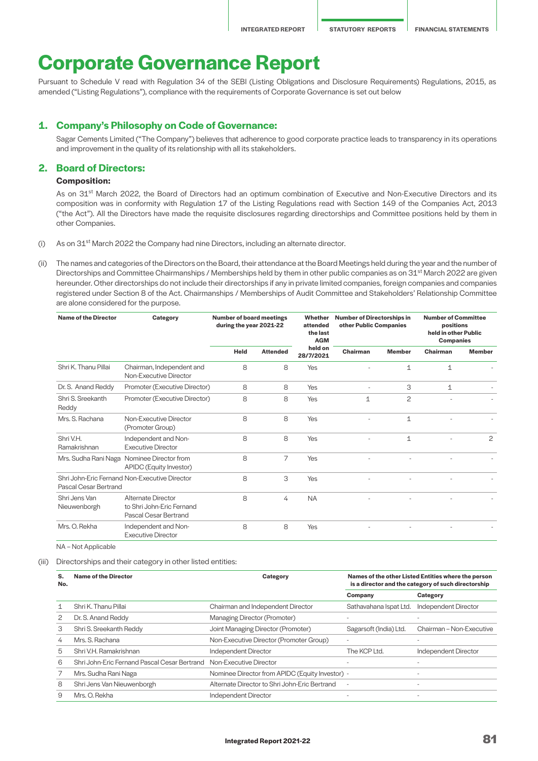# **Corporate Governance Report**

Pursuant to Schedule V read with Regulation 34 of the SEBI (Listing Obligations and Disclosure Requirements) Regulations, 2015, as amended ("Listing Regulations"), compliance with the requirements of Corporate Governance is set out below

## **1. Company's Philosophy on Code of Governance:**

 Sagar Cements Limited ("The Company") believes that adherence to good corporate practice leads to transparency in its operations and improvement in the quality of its relationship with all its stakeholders.

## **2. Board of Directors:**

## **Composition:**

As on 31<sup>st</sup> March 2022, the Board of Directors had an optimum combination of Executive and Non-Executive Directors and its composition was in conformity with Regulation 17 of the Listing Regulations read with Section 149 of the Companies Act, 2013 ("the Act"). All the Directors have made the requisite disclosures regarding directorships and Committee positions held by them in other Companies.

- (i) As on  $31<sup>st</sup>$  March 2022 the Company had nine Directors, including an alternate director.
- (ii) The names and categories of the Directors on the Board, their attendance at the Board Meetings held during the year and the number of Directorships and Committee Chairmanships / Memberships held by them in other public companies as on 31<sup>st</sup> March 2022 are given hereunder. Other directorships do not include their directorships if any in private limited companies, foreign companies and companies registered under Section 8 of the Act. Chairmanships / Memberships of Audit Committee and Stakeholders' Relationship Committee are alone considered for the purpose.

| <b>Name of the Director</b>   | Category                                                                 | <b>Number of board meetings</b><br>during the year 2021-22 |                 | Whether<br>attended<br>the last<br><b>AGM</b> | <b>Number of Directorships in</b><br>other Public Companies |               | <b>Number of Committee</b><br>positions<br>held in other Public<br><b>Companies</b> |                |
|-------------------------------|--------------------------------------------------------------------------|------------------------------------------------------------|-----------------|-----------------------------------------------|-------------------------------------------------------------|---------------|-------------------------------------------------------------------------------------|----------------|
|                               |                                                                          | Held                                                       | <b>Attended</b> | held on<br>28/7/2021                          | Chairman                                                    | <b>Member</b> | Chairman                                                                            | <b>Member</b>  |
| Shri K. Thanu Pillai          | Chairman, Independent and<br>Non-Executive Director                      | 8                                                          | 8               | Yes                                           |                                                             | $\mathbf 1$   | 1                                                                                   |                |
| Dr. S. Anand Reddy            | Promoter (Executive Director)                                            | 8                                                          | 8               | Yes                                           |                                                             | 3             | $\mathbf 1$                                                                         |                |
| Shri S. Sreekanth<br>Reddy    | Promoter (Executive Director)                                            | 8                                                          | 8               | Yes                                           | 1                                                           | $\mathbf{2}$  |                                                                                     |                |
| Mrs. S. Rachana               | Non-Executive Director<br>(Promoter Group)                               | 8                                                          | 8               | Yes                                           |                                                             | $\mathbf{1}$  |                                                                                     |                |
| Shri V.H.<br>Ramakrishnan     | Independent and Non-<br><b>Executive Director</b>                        | 8                                                          | 8               | Yes                                           |                                                             | $\mathbf 1$   |                                                                                     | $\overline{c}$ |
| Mrs. Sudha Rani Naga          | Nominee Director from<br>APIDC (Equity Investor)                         | 8                                                          | 7               | Yes                                           |                                                             |               |                                                                                     |                |
| Pascal Cesar Bertrand         | Shri John-Eric Fernand Non-Executive Director                            | 8                                                          | 3               | Yes                                           |                                                             |               |                                                                                     |                |
| Shri Jens Van<br>Nieuwenborgh | Alternate Director<br>to Shri John-Eric Fernand<br>Pascal Cesar Bertrand | 8                                                          | 4               | <b>NA</b>                                     |                                                             |               |                                                                                     |                |
| Mrs. O. Rekha                 | Independent and Non-<br><b>Executive Director</b>                        | 8                                                          | 8               | Yes                                           |                                                             |               |                                                                                     |                |

NA – Not Applicable

(iii) Directorships and their category in other listed entities:

| S.<br>No. | <b>Name of the Director</b>                  | Names of the other Listed Entities where the person<br>Category<br>is a director and the category of such directorship |                          |                             |
|-----------|----------------------------------------------|------------------------------------------------------------------------------------------------------------------------|--------------------------|-----------------------------|
|           |                                              |                                                                                                                        | Company                  | Category                    |
|           | Shri K. Thanu Pillai                         | Chairman and Independent Director                                                                                      | Sathavahana Ispat Ltd.   | <b>Independent Director</b> |
|           | Dr. S. Anand Reddy                           | Managing Director (Promoter)                                                                                           |                          |                             |
| З         | Shri S. Sreekanth Reddy                      | Joint Managing Director (Promoter)                                                                                     | Sagarsoft (India) Ltd.   | Chairman - Non-Executive    |
| 4         | Mrs. S. Rachana                              | Non-Executive Director (Promoter Group)                                                                                |                          |                             |
| 5         | Shri V.H. Ramakrishnan                       | Independent Director                                                                                                   | The KCP Ltd.             | <b>Independent Director</b> |
| 6         | Shri John-Eric Fernand Pascal Cesar Bertrand | Non-Executive Director                                                                                                 |                          |                             |
|           | Mrs. Sudha Rani Naga                         | Nominee Director from APIDC (Equity Investor) -                                                                        |                          | $\overline{a}$              |
| 8         | Shri Jens Van Nieuwenborgh                   | Alternate Director to Shri John-Eric Bertrand                                                                          | $\overline{\phantom{a}}$ | $\overline{\phantom{0}}$    |
| 9         | Mrs. O. Rekha                                | Independent Director                                                                                                   |                          |                             |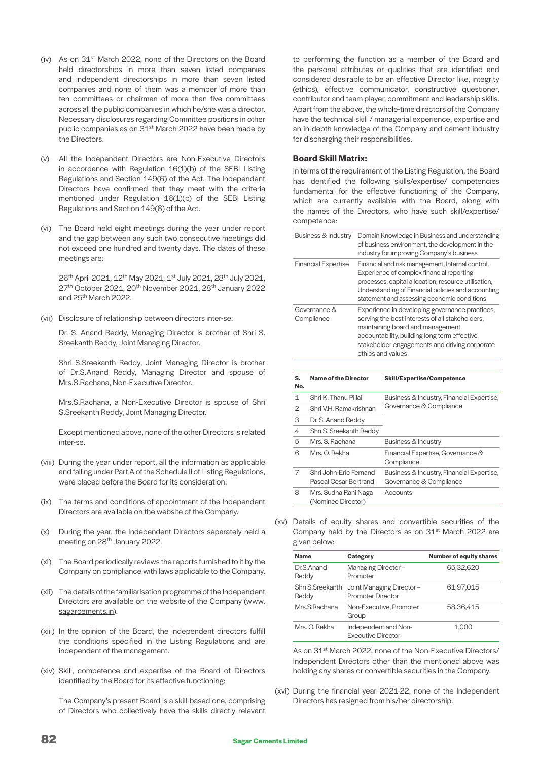- (iv) As on 31<sup>st</sup> March 2022, none of the Directors on the Board held directorships in more than seven listed companies and independent directorships in more than seven listed companies and none of them was a member of more than ten committees or chairman of more than five committees across all the public companies in which he/she was a director. Necessary disclosures regarding Committee positions in other public companies as on 31<sup>st</sup> March 2022 have been made by the Directors.
- (v) All the Independent Directors are Non-Executive Directors in accordance with Regulation 16(1)(b) of the SEBI Listing Regulations and Section 149(6) of the Act. The Independent Directors have confirmed that they meet with the criteria mentioned under Regulation 16(1)(b) of the SEBI Listing Regulations and Section 149(6) of the Act.
- (vi) The Board held eight meetings during the year under report and the gap between any such two consecutive meetings did not exceed one hundred and twenty days. The dates of these meetings are:

26<sup>th</sup> April 2021, 12<sup>th</sup> May 2021, 1<sup>st</sup> July 2021, 28<sup>th</sup> July 2021, 27<sup>th</sup> October 2021, 20<sup>th</sup> November 2021, 28<sup>th</sup> January 2022 and 25th March 2022.

(vii) Disclosure of relationship between directors inter-se:

 Dr. S. Anand Reddy, Managing Director is brother of Shri S. Sreekanth Reddy, Joint Managing Director.

 Shri S.Sreekanth Reddy, Joint Managing Director is brother of Dr.S.Anand Reddy, Managing Director and spouse of Mrs.S.Rachana, Non-Executive Director.

 Mrs.S.Rachana, a Non-Executive Director is spouse of Shri S.Sreekanth Reddy, Joint Managing Director.

 Except mentioned above, none of the other Directors is related inter-se.

- (viii) During the year under report, all the information as applicable and falling under Part A of the Schedule II of Listing Regulations, were placed before the Board for its consideration.
- (ix) The terms and conditions of appointment of the Independent Directors are available on the website of the Company.
- (x) During the year, the Independent Directors separately held a meeting on 28<sup>th</sup> January 2022.
- (xi) The Board periodically reviews the reports furnished to it by the Company on compliance with laws applicable to the Company.
- (xii) The details of the familiarisation programme of the Independent Directors are available on the website of the Company [\(www.](http://www.sagarcements.in) [sagarcements.in\)](http://www.sagarcements.in).
- (xiii) In the opinion of the Board, the independent directors fulfill the conditions specified in the Listing Regulations and are independent of the management.
- (xiv) Skill, competence and expertise of the Board of Directors identified by the Board for its effective functioning:

 The Company's present Board is a skill-based one, comprising of Directors who collectively have the skills directly relevant

to performing the function as a member of the Board and the personal attributes or qualities that are identified and considered desirable to be an effective Director like, integrity (ethics), effective communicator, constructive questioner, contributor and team player, commitment and leadership skills. Apart from the above, the whole-time directors of the Company have the technical skill / managerial experience, expertise and an in-depth knowledge of the Company and cement industry for discharging their responsibilities.

## **Board Skill Matrix:**

 In terms of the requirement of the Listing Regulation, the Board has identified the following skills/expertise/ competencies fundamental for the effective functioning of the Company, which are currently available with the Board, along with the names of the Directors, who have such skill/expertise/ competence:

| Business & Industry        | Domain Knowledge in Business and understanding<br>of business environment, the development in the<br>industry for improving Company's business                                                                                                              |
|----------------------------|-------------------------------------------------------------------------------------------------------------------------------------------------------------------------------------------------------------------------------------------------------------|
| <b>Financial Expertise</b> | Financial and risk management, Internal control,<br>Experience of complex financial reporting<br>processes, capital allocation, resource utilisation,<br>Understanding of Financial policies and accounting<br>statement and assessing economic conditions  |
| Governance &<br>Compliance | Experience in developing governance practices,<br>serving the best interests of all stakeholders,<br>maintaining board and management<br>accountability, building long term effective<br>stakeholder engagements and driving corporate<br>ethics and values |

| S.<br>No. | <b>Name of the Director</b>                      | <b>Skill/Expertise/Competence</b>                                    |
|-----------|--------------------------------------------------|----------------------------------------------------------------------|
| 1         | Shri K. Thanu Pillai                             | Business & Industry, Financial Expertise,                            |
| 2         | Shri V.H. Ramakrishnan                           | Governance & Compliance                                              |
| 3         | Dr. S. Anand Reddy                               |                                                                      |
| 4         | Shri S. Sreekanth Reddy                          |                                                                      |
| 5         | Mrs. S. Rachana                                  | Business & Industry                                                  |
| 6         | Mrs. O. Rekha                                    | Financial Expertise, Governance &<br>Compliance                      |
| 7         | Shri, John-Fric Fernand<br>Pascal Cesar Bertrand | Business & Industry, Financial Expertise,<br>Governance & Compliance |
| 8         | Mrs. Sudha Rani Naga<br>(Nominee Director)       | Accounts                                                             |

(xv) Details of equity shares and convertible securities of the Company held by the Directors as on 31<sup>st</sup> March 2022 are given below:

| <b>Name</b>               | Category                                             | <b>Number of equity shares</b> |
|---------------------------|------------------------------------------------------|--------------------------------|
| Dr.S.Anand<br>Reddy       | Managing Director-<br>Promoter                       | 65,32,620                      |
| Shri S.Sreekanth<br>Reddy | Joint Managing Director-<br><b>Promoter Director</b> | 61,97,015                      |
| Mrs.S.Rachana             | Non-Executive, Promoter<br>Group                     | 58.36.415                      |
| Mrs. O. Rekha             | Independent and Non-<br><b>Executive Director</b>    | 1,000                          |

As on 31<sup>st</sup> March 2022, none of the Non-Executive Directors/ Independent Directors other than the mentioned above was holding any shares or convertible securities in the Company.

(xvi) During the financial year 2021-22, none of the Independent Directors has resigned from his/her directorship.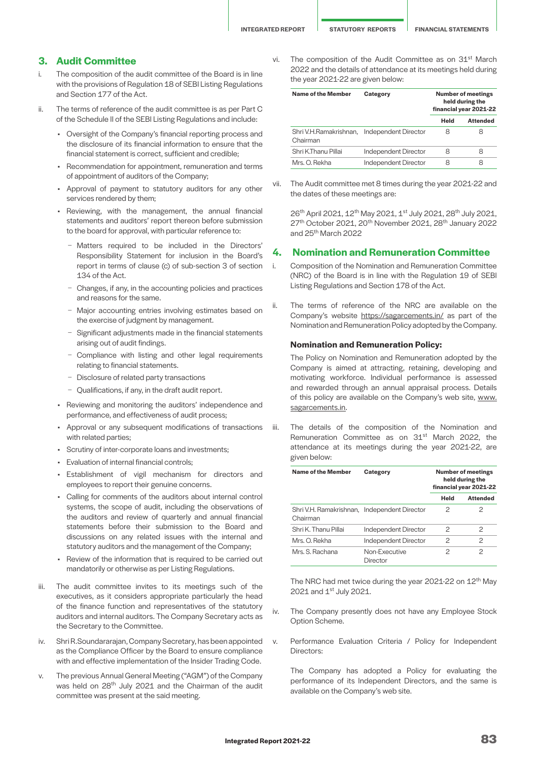## **3. Audit Committee**

- i. The composition of the audit committee of the Board is in line with the provisions of Regulation 18 of SEBI Listing Regulations and Section 177 of the Act.
- ii. The terms of reference of the audit committee is as per Part C of the Schedule II of the SEBI Listing Regulations and include:
	- Oversight of the Company's financial reporting process and the disclosure of its financial information to ensure that the financial statement is correct, sufficient and credible;
	- Recommendation for appointment, remuneration and terms of appointment of auditors of the Company;
	- Approval of payment to statutory auditors for any other services rendered by them;
	- Reviewing, with the management, the annual financial statements and auditors' report thereon before submission to the board for approval, with particular reference to:
		- − Matters required to be included in the Directors' Responsibility Statement for inclusion in the Board's report in terms of clause (c) of sub-section 3 of section 134 of the Act.
		- − Changes, if any, in the accounting policies and practices and reasons for the same.
		- − Major accounting entries involving estimates based on the exercise of judgment by management.
		- − Significant adjustments made in the financial statements arising out of audit findings.
		- − Compliance with listing and other legal requirements relating to financial statements.
		- − Disclosure of related party transactions
		- − Qualifications, if any, in the draft audit report.
	- Reviewing and monitoring the auditors' independence and performance, and effectiveness of audit process;
	- Approval or any subsequent modifications of transactions with related parties;
	- Scrutiny of inter-corporate loans and investments;
	- Evaluation of internal financial controls;
	- Establishment of vigil mechanism for directors and employees to report their genuine concerns.
	- Calling for comments of the auditors about internal control systems, the scope of audit, including the observations of the auditors and review of quarterly and annual financial statements before their submission to the Board and discussions on any related issues with the internal and statutory auditors and the management of the Company;
	- Review of the information that is required to be carried out mandatorily or otherwise as per Listing Regulations.
- iii. The audit committee invites to its meetings such of the executives, as it considers appropriate particularly the head of the finance function and representatives of the statutory auditors and internal auditors. The Company Secretary acts as the Secretary to the Committee.
- iv. Shri R.Soundararajan, Company Secretary, has been appointed as the Compliance Officer by the Board to ensure compliance with and effective implementation of the Insider Trading Code.
- v. The previous Annual General Meeting ("AGM") of the Company was held on 28<sup>th</sup> July 2021 and the Chairman of the audit committee was present at the said meeting.

vi. The composition of the Audit Committee as on 31<sup>st</sup> March 2022 and the details of attendance at its meetings held during the year 2021-22 are given below:

| Name of the Member                                      | Category             | <b>Number of meetings</b><br>held during the<br>financial year 2021-22 |                 |
|---------------------------------------------------------|----------------------|------------------------------------------------------------------------|-----------------|
|                                                         |                      | Held                                                                   | <b>Attended</b> |
| Shri V.H.Ramakrishnan, Independent Director<br>Chairman |                      | 8                                                                      | Χ               |
| Shri K.Thanu Pillai                                     | Independent Director | 8                                                                      | Χ               |
| Mrs. O. Rekha                                           | Independent Director | 8                                                                      |                 |

vii. The Audit committee met 8 times during the year 2021-22 and the dates of these meetings are:

26<sup>th</sup> April 2021, 12<sup>th</sup> May 2021, 1<sup>st</sup> July 2021, 28<sup>th</sup> July 2021, 27<sup>th</sup> October 2021, 20<sup>th</sup> November 2021, 28<sup>th</sup> January 2022 and 25th March 2022

# **4. Nomination and Remuneration Committee**

- i. Composition of the Nomination and Remuneration Committee (NRC) of the Board is in line with the Regulation 19 of SEBI Listing Regulations and Section 178 of the Act.
- ii. The terms of reference of the NRC are available on the Company's website <https://sagarcements.in/>as part of the Nomination and Remuneration Policy adopted by the Company.

#### **Nomination and Remuneration Policy:**

 The Policy on Nomination and Remuneration adopted by the Company is aimed at attracting, retaining, developing and motivating workforce. Individual performance is assessed and rewarded through an annual appraisal process. Details of this policy are available on the Company's web site, [www.](https://sagarcements.in/) [sagarcements.in.](https://sagarcements.in/)

iii. The details of the composition of the Nomination and Remuneration Committee as on 31<sup>st</sup> March 2022, the attendance at its meetings during the year 2021-22, are given below:

| Name of the Member                                       | Category                  |      | <b>Number of meetings</b><br>held during the<br>financial year 2021-22 |  |
|----------------------------------------------------------|---------------------------|------|------------------------------------------------------------------------|--|
|                                                          |                           | Held | <b>Attended</b>                                                        |  |
| Shri V.H. Ramakrishnan, Independent Director<br>Chairman |                           | 2    | 2                                                                      |  |
| Shri K. Thanu Pillai                                     | Independent Director      | 2    | 2                                                                      |  |
| Mrs. O. Rekha                                            | Independent Director      | 2    | 2                                                                      |  |
| Mrs. S. Rachana                                          | Non-Executive<br>Director | 2    | 2                                                                      |  |

The NRC had met twice during the year 2021-22 on  $12<sup>th</sup>$  May 2021 and 1st July 2021.

- iv. The Company presently does not have any Employee Stock Option Scheme.
- v. Performance Evaluation Criteria / Policy for Independent Directors:

 The Company has adopted a Policy for evaluating the performance of its Independent Directors, and the same is available on the Company's web site.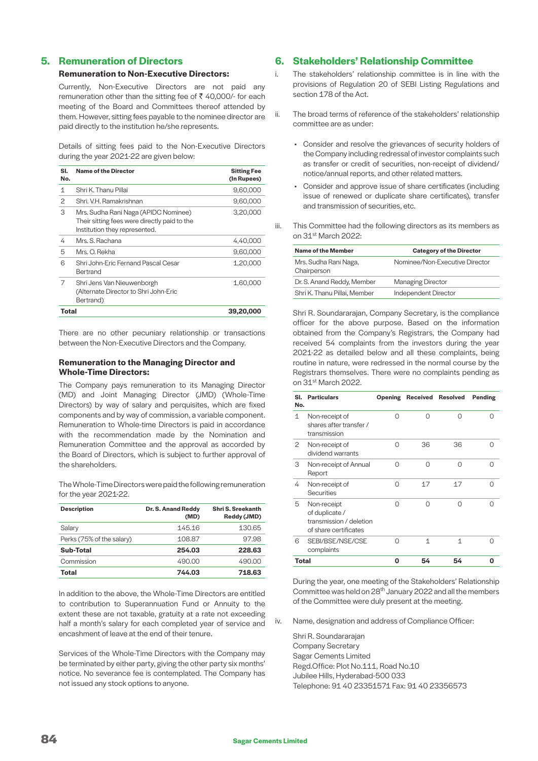# **5. Remuneration of Directors**

# **Remuneration to Non-Executive Directors:**

 Currently, Non-Executive Directors are not paid any remuneration other than the sitting fee of  $\bar{\tau}$  40,000/- for each meeting of the Board and Committees thereof attended by them. However, sitting fees payable to the nominee director are paid directly to the institution he/she represents.

 Details of sitting fees paid to the Non-Executive Directors during the year 2021-22 are given below:

| SI.<br>No.   | <b>Name of the Director</b>                                                                                           | <b>Sitting Fee</b><br>(In Rupees) |
|--------------|-----------------------------------------------------------------------------------------------------------------------|-----------------------------------|
| 1            | Shri K. Thanu Pillai                                                                                                  | 9,60,000                          |
| $\mathbf{2}$ | Shri, V.H. Ramakrishnan                                                                                               | 9,60,000                          |
| 3            | Mrs. Sudha Rani Naga (APIDC Nominee)<br>Their sitting fees were directly paid to the<br>Institution they represented. | 3,20,000                          |
| 4            | Mrs. S. Rachana                                                                                                       | 4,40,000                          |
| 5            | Mrs. O. Rekha                                                                                                         | 9,60,000                          |
| 6            | Shri John-Eric Fernand Pascal Cesar<br>Bertrand                                                                       | 1,20,000                          |
| 7            | Shri Jens Van Nieuwenborgh<br>(Alternate Director to Shri John-Eric<br>Bertrand)                                      | 1,60,000                          |
| Total        |                                                                                                                       | 39,20,000                         |

 There are no other pecuniary relationship or transactions between the Non-Executive Directors and the Company.

## **Remuneration to the Managing Director and Whole-Time Directors:**

 The Company pays remuneration to its Managing Director (MD) and Joint Managing Director (JMD) (Whole-Time Directors) by way of salary and perquisites, which are fixed components and by way of commission, a variable component. Remuneration to Whole-time Directors is paid in accordance with the recommendation made by the Nomination and Remuneration Committee and the approval as accorded by the Board of Directors, which is subject to further approval of the shareholders.

 The Whole-Time Directors were paid the following remuneration for the year 2021-22.

| <b>Description</b>        | Dr. S. Anand Reddy<br>(MD) | Shri S. Sreekanth<br>Reddy (JMD) |
|---------------------------|----------------------------|----------------------------------|
| Salary                    | 145.16                     | 130.65                           |
| Perks (75% of the salary) | 108.87                     | 97.98                            |
| Sub-Total                 | 254.03                     | 228.63                           |
| Commission                | 490.00                     | 490.00                           |
| <b>Total</b>              | 744.03                     | 718.63                           |

 In addition to the above, the Whole-Time Directors are entitled to contribution to Superannuation Fund or Annuity to the extent these are not taxable, gratuity at a rate not exceeding half a month's salary for each completed year of service and encashment of leave at the end of their tenure.

 Services of the Whole-Time Directors with the Company may be terminated by either party, giving the other party six months' notice. No severance fee is contemplated. The Company has not issued any stock options to anyone.

# **6. Stakeholders' Relationship Committee**

- i. The stakeholders' relationship committee is in line with the provisions of Regulation 20 of SEBI Listing Regulations and section 178 of the Act.
- ii. The broad terms of reference of the stakeholders' relationship committee are as under:
	- Consider and resolve the grievances of security holders of the Company including redressal of investor complaints such as transfer or credit of securities, non-receipt of dividend/ notice/annual reports, and other related matters.
	- Consider and approve issue of share certificates (including issue of renewed or duplicate share certificates), transfer and transmission of securities, etc.
- iii. This Committee had the following directors as its members as on 31st March 2022:

| <b>Name of the Member</b>            | <b>Category of the Director</b> |
|--------------------------------------|---------------------------------|
| Mrs. Sudha Rani Naga,<br>Chairperson | Nominee/Non-Executive Director  |
| Dr. S. Anand Reddy, Member           | <b>Managing Director</b>        |
| Shri K. Thanu Pillai, Member         | Independent Director            |

Shri R. Soundararajan, Company Secretary, is the compliance officer for the above purpose. Based on the information obtained from the Company's Registrars, the Company had received 54 complaints from the investors during the year 2021-22 as detailed below and all these complaints, being routine in nature, were redressed in the normal course by the Registrars themselves. There were no complaints pending as on 31st March 2022.

| SI.<br>No. | <b>Particulars</b>                                                                | Opening |          | <b>Received Resolved</b> | Pending |
|------------|-----------------------------------------------------------------------------------|---------|----------|--------------------------|---------|
| 1          | Non-receipt of<br>shares after transfer /<br>transmission                         | ∩       | $\Omega$ | ∩                        | ∩       |
| 2          | Non-receipt of<br>dividend warrants                                               | ∩       | 36       | 36                       |         |
| 3          | Non-receipt of Annual<br>Report                                                   | Ω       | $\cap$   | Λ                        | Λ       |
| 4          | Non-receipt of<br><b>Securities</b>                                               | ∩       | 17       | 17                       | ∩       |
| 5          | Non-receipt<br>of duplicate /<br>transmission / deletion<br>of share certificates | ∩       | $\cap$   | ∩                        | ∩       |
| 6          | SEBI/BSE/NSE/CSE<br>complaints                                                    | ∩       | 1        | 1                        | ∩       |
| Total      |                                                                                   | Ο       | 54       | 54                       | n       |

 During the year, one meeting of the Stakeholders' Relationship Committee was held on 28th January 2022 and all the members of the Committee were duly present at the meeting.

iv. Name, designation and address of Compliance Officer:

Shri R. Soundararajan Company Secretary Sagar Cements Limited Regd.Office: Plot No.111, Road No.10 Jubilee Hills, Hyderabad-500 033 Telephone: 91 40 23351571 Fax: 91 40 23356573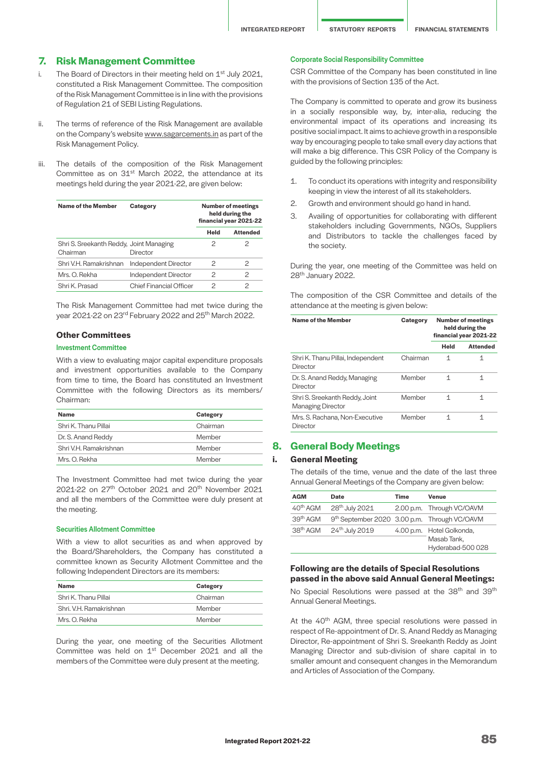**INTEGRATED REPORT STATUTORY REPORTS FINANCIAL STATEMENTS**

## **7. Risk Management Committee**

- i. The Board of Directors in their meeting held on  $1<sup>st</sup>$  July 2021, constituted a Risk Management Committee. The composition of the Risk Management Committee is in line with the provisions of Regulation 21 of SEBI Listing Regulations.
- ii. The terms of reference of the Risk Management are available on the Company's website [www.sagarcements.in](http://www.sagarcements.in) as part of the Risk Management Policy.
- iii. The details of the composition of the Risk Management Committee as on 31<sup>st</sup> March 2022, the attendance at its meetings held during the year 2021-22, are given below:

| <b>Name of the Member</b>                           | Category                       | <b>Number of meetings</b><br>held during the<br>financial year 2021-22 |                 |
|-----------------------------------------------------|--------------------------------|------------------------------------------------------------------------|-----------------|
|                                                     |                                | Held                                                                   | <b>Attended</b> |
| Shri S. Sreekanth Reddy, Joint Managing<br>Chairman | Director                       | 2                                                                      |                 |
| Shri V.H. Ramakrishnan                              | Independent Director           | 2                                                                      | 2               |
| Mrs. O. Rekha                                       | <b>Independent Director</b>    | 2                                                                      | 2               |
| Shri K. Prasad                                      | <b>Chief Financial Officer</b> | 2                                                                      | 2               |

The Risk Management Committee had met twice during the year 2021-22 on 23rd February 2022 and 25th March 2022.

## **Other Committees**

#### Investment Committee

With a view to evaluating major capital expenditure proposals and investment opportunities available to the Company from time to time, the Board has constituted an Investment Committee with the following Directors as its members/ Chairman:

| <b>Name</b>            | Category |
|------------------------|----------|
| Shri K. Thanu Pillai   | Chairman |
| Dr. S. Anand Reddy     | Member   |
| Shri V.H. Ramakrishnan | Member   |
| Mrs. O. Rekha          | Member   |

The Investment Committee had met twice during the year 2021-22 on 27<sup>th</sup> October 2021 and 20<sup>th</sup> November 2021 and all the members of the Committee were duly present at the meeting.

#### Securities Allotment Committee

With a view to allot securities as and when approved by the Board/Shareholders, the Company has constituted a committee known as Security Allotment Committee and the following Independent Directors are its members:

| Name                    | Category |
|-------------------------|----------|
| Shri K. Thanu Pillai    | Chairman |
| Shri, V.H. Ramakrishnan | Member   |
| Mrs. O. Rekha           | Member   |

During the year, one meeting of the Securities Allotment Committee was held on 1<sup>st</sup> December 2021 and all the members of the Committee were duly present at the meeting.

## Corporate Social Responsibility Committee

CSR Committee of the Company has been constituted in line with the provisions of Section 135 of the Act.

The Company is committed to operate and grow its business in a socially responsible way, by, inter-alia, reducing the environmental impact of its operations and increasing its positive social impact. It aims to achieve growth in a responsible way by encouraging people to take small every day actions that will make a big difference. This CSR Policy of the Company is guided by the following principles:

- 1. To conduct its operations with integrity and responsibility keeping in view the interest of all its stakeholders.
- 2. Growth and environment should go hand in hand.
- 3. Availing of opportunities for collaborating with different stakeholders including Governments, NGOs, Suppliers and Distributors to tackle the challenges faced by the society.

During the year, one meeting of the Committee was held on 28th January 2022.

The composition of the CSR Committee and details of the attendance at the meeting is given below:

| Name of the Member                                         | Category | <b>Number of meetings</b><br>held during the<br>financial year 2021-22 |                 |
|------------------------------------------------------------|----------|------------------------------------------------------------------------|-----------------|
|                                                            |          | Held                                                                   | <b>Attended</b> |
| Shri K. Thanu Pillai, Independent<br>Director              | Chairman | 1                                                                      | 1               |
| Dr. S. Anand Reddy, Managing<br>Director                   | Member   | 1                                                                      | 1               |
| Shri S. Sreekanth Reddy, Joint<br><b>Managing Director</b> | Member   | 1                                                                      | 1               |
| Mrs. S. Rachana, Non-Executive<br>Director                 | Member   | 1                                                                      | 1               |

# **8. General Body Meetings**

## **i. General Meeting**

The details of the time, venue and the date of the last three Annual General Meetings of the Company are given below:

| <b>AGM</b>           | Date                                         | Time | Venue                                                        |
|----------------------|----------------------------------------------|------|--------------------------------------------------------------|
| 40 <sup>th</sup> AGM | 28 <sup>th</sup> July 2021                   |      | 2.00 p.m. Through VC/OAVM                                    |
| 39 <sup>th</sup> AGM | 9th September 2020 3.00 p.m. Through VC/OAVM |      |                                                              |
| 38 <sup>th</sup> AGM | 24th July 2019                               |      | 4.00 p.m. Hotel Golkonda,<br>Masab Tank,<br>Hyderabad-500028 |

#### **Following are the details of Special Resolutions passed in the above said Annual General Meetings:**

No Special Resolutions were passed at the 38<sup>th</sup> and 39<sup>th</sup> Annual General Meetings.

At the 40<sup>th</sup> AGM, three special resolutions were passed in respect of Re-appointment of Dr. S. Anand Reddy as Managing Director, Re-appointment of Shri S. Sreekanth Reddy as Joint Managing Director and sub-division of share capital in to smaller amount and consequent changes in the Memorandum and Articles of Association of the Company.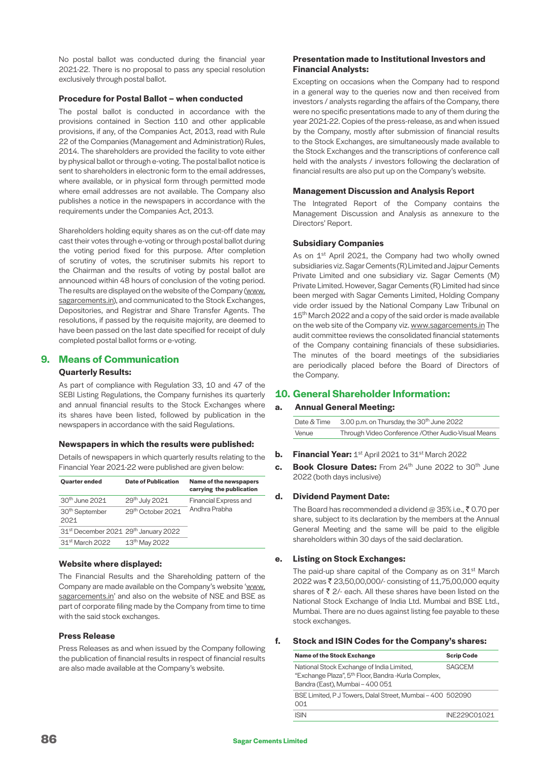No postal ballot was conducted during the financial year 2021-22. There is no proposal to pass any special resolution exclusively through postal ballot.

## **Procedure for Postal Ballot – when conducted**

The postal ballot is conducted in accordance with the provisions contained in Section 110 and other applicable provisions, if any, of the Companies Act, 2013, read with Rule 22 of the Companies (Management and Administration) Rules, 2014. The shareholders are provided the facility to vote either by physical ballot or through e-voting. The postal ballot notice is sent to shareholders in electronic form to the email addresses, where available, or in physical form through permitted mode where email addresses are not available. The Company also publishes a notice in the newspapers in accordance with the requirements under the Companies Act, 2013.

Shareholders holding equity shares as on the cut-off date may cast their votes through e-voting or through postal ballot during the voting period fixed for this purpose. After completion of scrutiny of votes, the scrutiniser submits his report to the Chairman and the results of voting by postal ballot are announced within 48 hours of conclusion of the voting period. The results are displayed on the website of the Company ([www.](https://sagarcements.in/) [sagarcements.in\)](https://sagarcements.in/), and communicated to the Stock Exchanges, Depositories, and Registrar and Share Transfer Agents. The resolutions, if passed by the requisite majority, are deemed to have been passed on the last date specified for receipt of duly completed postal ballot forms or e-voting.

# **9. Means of Communication**

## **Quarterly Results:**

As part of compliance with Regulation 33, 10 and 47 of the SEBI Listing Regulations, the Company furnishes its quarterly and annual financial results to the Stock Exchanges where its shares have been listed, followed by publication in the newspapers in accordance with the said Regulations.

#### **Newspapers in which the results were published:**

Details of newspapers in which quarterly results relating to the Financial Year 2021-22 were published are given below:

| <b>Ouarter ended</b>                                         | <b>Date of Publication</b> | Name of the newspapers<br>carrying the publication |
|--------------------------------------------------------------|----------------------------|----------------------------------------------------|
| 30 <sup>th</sup> June 2021                                   | 29th July 2021             | <b>Financial Express and</b>                       |
| 30 <sup>th</sup> September<br>2021                           | 29th October 2021          | Andhra Prabha                                      |
| 31 <sup>st</sup> December 2021 29 <sup>th</sup> January 2022 |                            |                                                    |
| 31 <sup>st</sup> March 2022                                  | 13 <sup>th</sup> May 2022  |                                                    |

## **Website where displayed:**

The Financial Results and the Shareholding pattern of the Company are made available on the Company's website '[www.](http://www.sagarcements.in) [sagarcements.in](http://www.sagarcements.in)' and also on the website of NSE and BSE as part of corporate filing made by the Company from time to time with the said stock exchanges.

#### **Press Release**

Press Releases as and when issued by the Company following the publication of financial results in respect of financial results are also made available at the Company's website.

## **Presentation made to Institutional Investors and Financial Analysts:**

Excepting on occasions when the Company had to respond in a general way to the queries now and then received from investors / analysts regarding the affairs of the Company, there were no specific presentations made to any of them during the year 2021-22. Copies of the press-release, as and when issued by the Company, mostly after submission of financial results to the Stock Exchanges, are simultaneously made available to the Stock Exchanges and the transcriptions of conference call held with the analysts / investors following the declaration of financial results are also put up on the Company's website.

## **Management Discussion and Analysis Report**

The Integrated Report of the Company contains the Management Discussion and Analysis as annexure to the Directors' Report.

## **Subsidiary Companies**

As on 1<sup>st</sup> April 2021, the Company had two wholly owned subsidiaries viz. Sagar Cements (R) Limited and Jajpur Cements Private Limited and one subsidiary viz. Sagar Cements (M) Private Limited. However, Sagar Cements (R) Limited had since been merged with Sagar Cements Limited, Holding Company vide order issued by the National Company Law Tribunal on 15<sup>th</sup> March 2022 and a copy of the said order is made available on the web site of the Company viz. [www.sagarcements.in](http://www.sagarcements.in) The audit committee reviews the consolidated financial statements of the Company containing financials of these subsidiaries. The minutes of the board meetings of the subsidiaries are periodically placed before the Board of Directors of the Company.

# **10. General Shareholder Information:**

## **a. Annual General Meeting:**

| Date & Time | 3.00 p.m. on Thursday, the 30 <sup>th</sup> June 2022 |
|-------------|-------------------------------------------------------|
| Venue       | Through Video Conference / Other Audio-Visual Means   |

#### **b. Financial Year:** 1<sup>st</sup> April 2021 to 31<sup>st</sup> March 2022

**c.** Book Closure Dates: From 24<sup>th</sup> June 2022 to 30<sup>th</sup> June 2022 (both days inclusive)

#### **d. Dividend Payment Date:**

The Board has recommended a dividend @ 35% i.e.,  $\bar{z}$  0.70 per share, subject to its declaration by the members at the Annual General Meeting and the same will be paid to the eligible shareholders within 30 days of the said declaration.

## **e. Listing on Stock Exchanges:**

The paid-up share capital of the Company as on 31<sup>st</sup> March 2022 was ₹ 23,50,00,000/- consisting of 11,75,00,000 equity shares of  $\bar{\tau}$  2/- each. All these shares have been listed on the National Stock Exchange of India Ltd. Mumbai and BSE Ltd., Mumbai. There are no dues against listing fee payable to these stock exchanges.

#### **f. Stock and ISIN Codes for the Company's shares:**

| <b>Name of the Stock Exchange</b>                                                                                                               | <b>Scrip Code</b> |
|-------------------------------------------------------------------------------------------------------------------------------------------------|-------------------|
| National Stock Exchange of India Limited,<br>"Exchange Plaza", 5 <sup>th</sup> Floor, Bandra -Kurla Complex,<br>Bandra (East), Mumbai - 400 051 | <b>SAGCEM</b>     |
| BSE Limited, P J Towers, Dalal Street, Mumbai - 400 502090<br>OO1                                                                               |                   |
| ISIN                                                                                                                                            | INF229C01021      |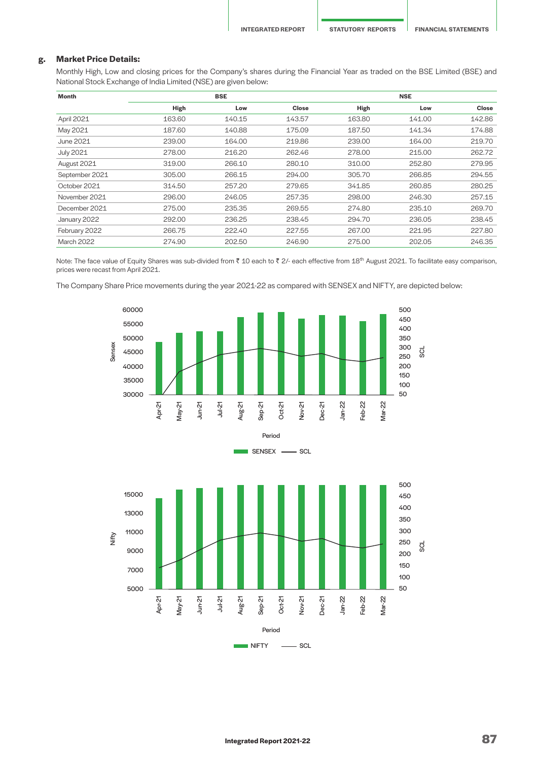## **g. Market Price Details:**

Monthly High, Low and closing prices for the Company's shares during the Financial Year as traded on the BSE Limited (BSE) and National Stock Exchange of India Limited (NSE) are given below:

| Month             |        | <b>BSE</b> |              |        | <b>NSE</b> |              |  |
|-------------------|--------|------------|--------------|--------|------------|--------------|--|
|                   | High   | Low        | <b>Close</b> | High   | Low        | <b>Close</b> |  |
| April 2021        | 163.60 | 140.15     | 143.57       | 163.80 | 141.00     | 142.86       |  |
| May 2021          | 187.60 | 140.88     | 175.09       | 187.50 | 141.34     | 174.88       |  |
| June 2021         | 239.00 | 164.00     | 219.86       | 239.00 | 164.00     | 219.70       |  |
| <b>July 2021</b>  | 278.00 | 216.20     | 262.46       | 278.00 | 215.00     | 262.72       |  |
| August 2021       | 319.00 | 266.10     | 280.10       | 310.00 | 252.80     | 279.95       |  |
| September 2021    | 305.00 | 266.15     | 294.00       | 305.70 | 266.85     | 294.55       |  |
| October 2021      | 314.50 | 257.20     | 279.65       | 341.85 | 260.85     | 280.25       |  |
| November 2021     | 296.00 | 246.05     | 257.35       | 298.00 | 246.30     | 257.15       |  |
| December 2021     | 275.00 | 235.35     | 269.55       | 274.80 | 235.10     | 269.70       |  |
| January 2022      | 292.00 | 236.25     | 238.45       | 294.70 | 236.05     | 238.45       |  |
| February 2022     | 266.75 | 222.40     | 227.55       | 267.00 | 221.95     | 227.80       |  |
| <b>March 2022</b> | 274.90 | 202.50     | 246.90       | 275.00 | 202.05     | 246.35       |  |

Note: The face value of Equity Shares was sub-divided from ₹ 10 each to ₹ 2/- each effective from 18<sup>th</sup> August 2021. To facilitate easy comparison, prices were recast from April 2021.

The Company Share Price movements during the year 2021-22 as compared with SENSEX and NIFTY, are depicted below:





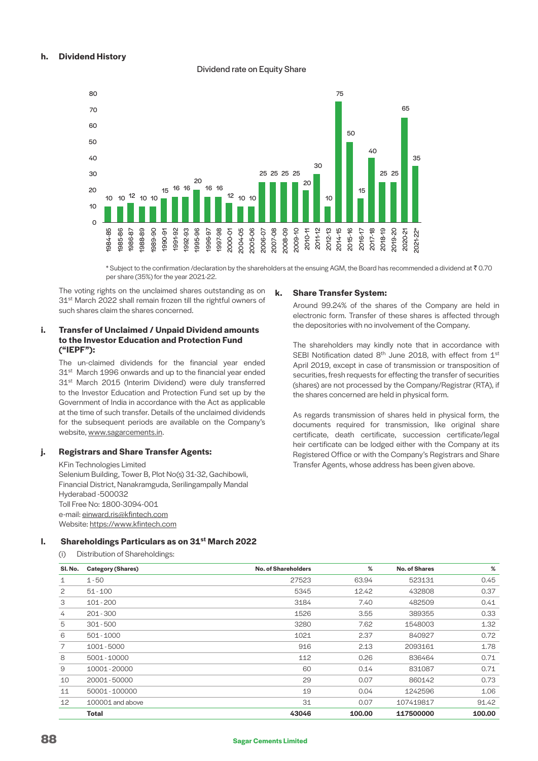## **h. Dividend History**

#### Dividend rate on Equity Share



\* Subject to the confirmation /declaration by the shareholders at the ensuing AGM, the Board has recommended a dividend at  $\bar{\tau}$  0.70 per share (35%) for the year 2021-22.

 The voting rights on the unclaimed shares outstanding as on 31<sup>st</sup> March 2022 shall remain frozen till the rightful owners of such shares claim the shares concerned.

## **i. Transfer of Unclaimed / Unpaid Dividend amounts to the Investor Education and Protection Fund ("IEPF"):**

 The un-claimed dividends for the financial year ended 31<sup>st</sup> March 1996 onwards and up to the financial year ended 31<sup>st</sup> March 2015 (Interim Dividend) were duly transferred to the Investor Education and Protection Fund set up by the Government of India in accordance with the Act as applicable at the time of such transfer. Details of the unclaimed dividends for the subsequent periods are available on the Company's website, [www.sagarcements.in.](http://www.sagarcements.in)

## **j. Registrars and Share Transfer Agents:**

KFin Technologies Limited Selenium Building, Tower B, Plot No(s) 31-32, Gachibowli, Financial District, Nanakramguda, Serilingampally Mandal Hyderabad -500032 Toll Free No: 1800-3094-001 e-mail: [einward.ris@kfintech.com](mailto:einward.ris%40kfintech.com?subject=) Website:<https://www.kfintech.com>

#### **k. Share Transfer System:**

 Around 99.24% of the shares of the Company are held in electronic form. Transfer of these shares is affected through the depositories with no involvement of the Company.

 The shareholders may kindly note that in accordance with SEBI Notification dated 8<sup>th</sup> June 2018, with effect from 1<sup>st</sup> April 2019, except in case of transmission or transposition of securities, fresh requests for effecting the transfer of securities (shares) are not processed by the Company/Registrar (RTA), if the shares concerned are held in physical form.

 As regards transmission of shares held in physical form, the documents required for transmission, like original share certificate, death certificate, succession certificate/legal heir certificate can be lodged either with the Company at its Registered Office or with the Company's Registrars and Share Transfer Agents, whose address has been given above.

# **l. Shareholdings Particulars as on 31st March 2022**

(i) Distribution of Shareholdings:

| SI. No.           | <b>Category (Shares)</b> | <b>No. of Shareholders</b> | %      | <b>No. of Shares</b> | %      |
|-------------------|--------------------------|----------------------------|--------|----------------------|--------|
| $\mathbf 1$       | $1 - 50$                 | 27523                      | 63.94  | 523131               | 0.45   |
| 2                 | $51 - 100$               | 5345                       | 12.42  | 432808               | 0.37   |
| 3                 | 101-200                  | 3184                       | 7.40   | 482509               | 0.41   |
| 4                 | $201 - 300$              | 1526                       | 3.55   | 389355               | 0.33   |
| 5                 | $301 - 500$              | 3280                       | 7.62   | 1548003              | 1.32   |
| 6                 | 501 - 1000               | 1021                       | 2.37   | 840927               | 0.72   |
| 7                 | 1001-5000                | 916                        | 2.13   | 2093161              | 1.78   |
| 8                 | 5001 - 10000             | 112                        | 0.26   | 836464               | 0.71   |
| 9                 | 10001 - 20000            | 60                         | 0.14   | 831087               | 0.71   |
| 10                | 20001 - 50000            | 29                         | 0.07   | 860142               | 0.73   |
| 11                | 50001 - 100000           | 19                         | 0.04   | 1242596              | 1.06   |
| $12 \overline{ }$ | 100001 and above         | 31                         | 0.07   | 107419817            | 91.42  |
|                   | <b>Total</b>             | 43046                      | 100.00 | 117500000            | 100.00 |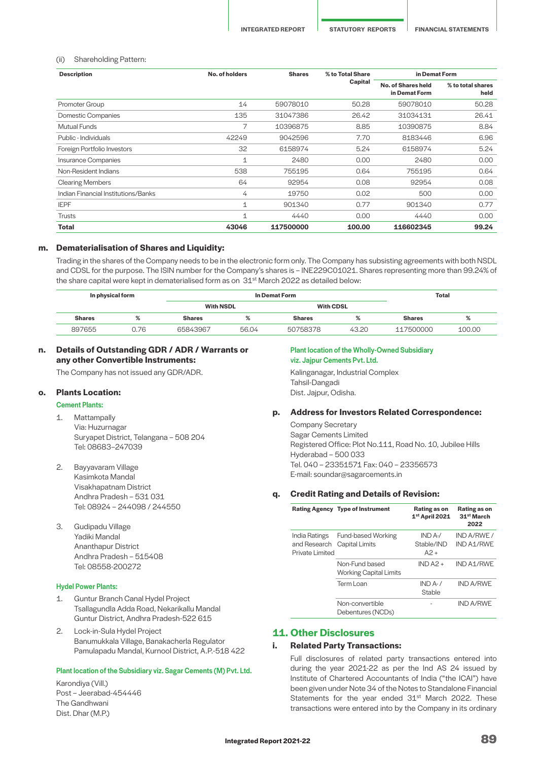#### (ii) Shareholding Pattern:

| <b>Description</b>                  | No. of holders | <b>Shares</b> | % to Total Share | in Demat Form                       |                           |  |
|-------------------------------------|----------------|---------------|------------------|-------------------------------------|---------------------------|--|
|                                     |                |               | Capital          | No. of Shares held<br>in Demat Form | % to total shares<br>held |  |
| Promoter Group                      | 14             | 59078010      | 50.28            | 59078010                            | 50.28                     |  |
| <b>Domestic Companies</b>           | 135            | 31047386      | 26.42            | 31034131                            | 26.41                     |  |
| <b>Mutual Funds</b>                 | 7              | 10396875      | 8.85             | 10390875                            | 8.84                      |  |
| Public - Individuals                | 42249          | 9042596       | 7.70             | 8183446                             | 6.96                      |  |
| Foreign Portfolio Investors         | 32             | 6158974       | 5.24             | 6158974                             | 5.24                      |  |
| Insurance Companies                 | 1              | 2480          | 0.00             | 2480                                | 0.00                      |  |
| Non-Resident Indians                | 538            | 755195        | 0.64             | 755195                              | 0.64                      |  |
| <b>Clearing Members</b>             | 64             | 92954         | 0.08             | 92954                               | 0.08                      |  |
| Indian Financial Institutions/Banks | 4              | 19750         | 0.02             | 500                                 | 0.00                      |  |
| <b>IEPF</b>                         | 1              | 901340        | 0.77             | 901340                              | 0.77                      |  |
| <b>Trusts</b>                       | 1              | 4440          | 0.00             | 4440                                | 0.00                      |  |
| <b>Total</b>                        | 43046          | 117500000     | 100.00           | 116602345                           | 99.24                     |  |

#### **m. Dematerialisation of Shares and Liquidity:**

Trading in the shares of the Company needs to be in the electronic form only. The Company has subsisting agreements with both NSDL and CDSL for the purpose. The ISIN number for the Company's shares is – INE229C01021. Shares representing more than 99.24% of the share capital were kept in dematerialised form as on  $31<sup>st</sup>$  March 2022 as detailed below:

| In physical form |      |                  | In Demat Form |                  |       |               | Total  |  |
|------------------|------|------------------|---------------|------------------|-------|---------------|--------|--|
|                  |      | <b>With NSDL</b> |               | <b>With CDSL</b> |       |               |        |  |
| <b>Shares</b>    | %    | <b>Shares</b>    | %             | <b>Shares</b>    | %     | <b>Shares</b> | %      |  |
| 897655           | 0.76 | 65843967         | 56.04         | 50758378         | 43.20 | 117500000     | 100.00 |  |

## **n. Details of Outstanding GDR / ADR / Warrants or any other Convertible Instruments:**

The Company has not issued any GDR/ADR.

#### **o. Plants Location:**

#### Cement Plants:

- 1. Mattampally Via: Huzurnagar Suryapet District, Telangana – 508 204 Tel: 08683–247039
- 2. Bayyavaram Village Kasimkota Mandal Visakhapatnam District Andhra Pradesh – 531 031 Tel: 08924 – 244098 / 244550
- 3. Gudipadu Village Yadiki Mandal Ananthapur District Andhra Pradesh – 515408 Tel: 08558-200272

#### Hydel Power Plants:

- 1. Guntur Branch Canal Hydel Project Tsallagundla Adda Road, Nekarikallu Mandal Guntur District, Andhra Pradesh-522 615
- 2. Lock-in-Sula Hydel Project Banumukkala Village, Banakacherla Regulator Pamulapadu Mandal, Kurnool District, A.P.-518 422

#### Plant location of the Subsidiary viz. Sagar Cements (M) Pvt. Ltd.

Karondiya (Vill.) Post – Jeerabad-454446 The Gandhwani Dist. Dhar (M.P.)

## Plant location of the Wholly-Owned Subsidiary viz. Jajpur Cements Pvt. Ltd.

Kalinganagar, Industrial Complex Tahsil-Dangadi Dist. Jajpur, Odisha.

#### **p. Address for Investors Related Correspondence:**

Company Secretary Sagar Cements Limited Registered Office: Plot No.111, Road No. 10, Jubilee Hills Hyderabad – 500 033 Tel. 040 – 23351571 Fax: 040 – 23356573 E-mail: soundar@sagarcements.in

#### **q. Credit Rating and Details of Revision:**

|  |                                                                 | <b>Rating Agency Type of Instrument</b>         | Rating as on<br>$1st$ April 2021 | Rating as on<br>31 <sup>st</sup> March<br>2022 |
|--|-----------------------------------------------------------------|-------------------------------------------------|----------------------------------|------------------------------------------------|
|  | India Ratings<br>and Research Capital Limits<br>Private Limited | Fund-based Working                              | $INDA-$<br>Stable/IND<br>$A2 +$  | IND A/RWF /<br>IND A1/RWE                      |
|  |                                                                 | Non-Fund based<br><b>Working Capital Limits</b> | $INDA2 +$                        | IND A1/RWE                                     |
|  |                                                                 | Term Loan                                       | $IND A-1$<br>Stable              | <b>IND A/RWE</b>                               |
|  |                                                                 | Non-convertible<br>Debentures (NCDs)            |                                  | <b>IND A/RWE</b>                               |

# **11. Other Disclosures**

#### **i. Related Party Transactions:**

Full disclosures of related party transactions entered into during the year 2021-22 as per the Ind AS 24 issued by Institute of Chartered Accountants of India ("the ICAI") have been given under Note 34 of the Notes to Standalone Financial Statements for the year ended 31<sup>st</sup> March 2022. These transactions were entered into by the Company in its ordinary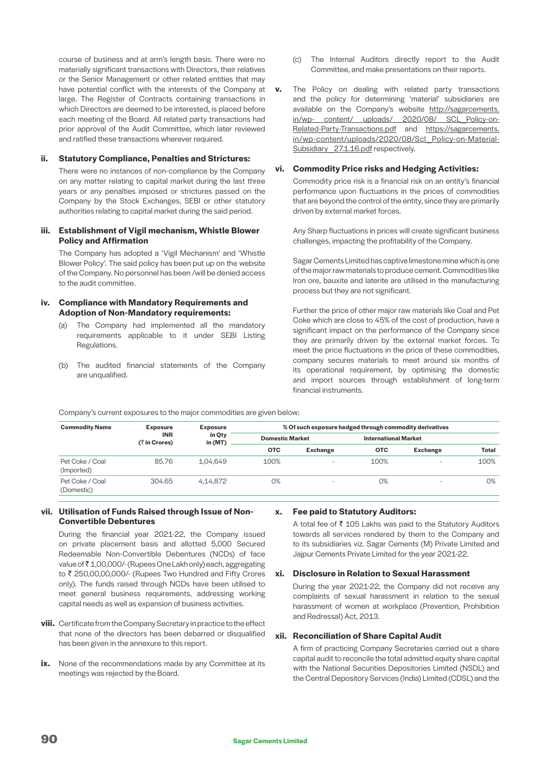course of business and at arm's length basis. There were no materially significant transactions with Directors, their relatives or the Senior Management or other related entities that may have potential conflict with the interests of the Company at large. The Register of Contracts containing transactions in which Directors are deemed to be interested, is placed before each meeting of the Board. All related party transactions had prior approval of the Audit Committee, which later reviewed and ratified these transactions wherever required.

#### **ii. Statutory Compliance, Penalties and Strictures:**

There were no instances of non-compliance by the Company on any matter relating to capital market during the last three years or any penalties imposed or strictures passed on the Company by the Stock Exchanges, SEBI or other statutory authorities relating to capital market during the said period.

#### **iii. Establishment of Vigil mechanism, Whistle Blower Policy and Affirmation**

The Company has adopted a 'Vigil Mechanism' and 'Whistle Blower Policy'. The said policy has been put up on the website of the Company. No personnel has been /will be denied access to the audit committee.

## **iv. Compliance with Mandatory Requirements and Adoption of Non-Mandatory requirements:**

- (a) The Company had implemented all the mandatory requirements applicable to it under SEBI Listing Regulations.
- (b) The audited financial statements of the Company are unqualified.
- (c) The Internal Auditors directly report to the Audit Committee, and make presentations on their reports.
- **v.** The Policy on dealing with related party transactions and the policy for determining 'material' subsidiaries are available on the Company's website [http://sagarcements.](http://sagarcements.in/wp-content/uploads/2020/08/SCL_Policy-on-Related-Party-Transactions.pdf) [in/wp- content/ uploads/ 2020/08/ SCL\\_Policy-on-](http://sagarcements.in/wp-content/uploads/2020/08/SCL_Policy-on-Related-Party-Transactions.pdf)[Related-Party-Transactions.pdf](http://sagarcements.in/wp-content/uploads/2020/08/SCL_Policy-on-Related-Party-Transactions.pdf) and [https://sagarcements.](https://sagarcements.in/wp-content/uploads/2020/08/Scl_Policy-on-Material-Subsidiary_27.1.16.pdf) [in/wp-content/uploads/2020/08/Scl\\_Policy-on-Material-](https://sagarcements.in/wp-content/uploads/2020/08/Scl_Policy-on-Material-Subsidiary_27.1.16.pdf)Subsidiary 27.1.16.pdf respectively.

#### **vi. Commodity Price risks and Hedging Activities:**

Commodity price risk is a financial risk on an entity's financial performance upon fluctuations in the prices of commodities that are beyond the control of the entity, since they are primarily driven by external market forces.

Any Sharp fluctuations in prices will create significant business challenges, impacting the profitability of the Company.

Sagar Cements Limited has captive limestone mine which is one of the major raw materials to produce cement. Commodities like Iron ore, bauxite and laterite are utilised in the manufacturing process but they are not significant.

Further the price of other major raw materials like Coal and Pet Coke which are close to 45% of the cost of production, have a significant impact on the performance of the Company since they are primarily driven by the external market forces. To meet the price fluctuations in the price of these commodities, company secures materials to meet around six months of its operational requirement, by optimising the domestic and import sources through establishment of long-term financial instruments.

Company's current exposures to the major commodities are given below:

| <b>Commodity Name</b>         | <b>Exposure</b>                | <b>Exposure</b>     |                        | % Of such exposure hedged through commodity derivatives |                             |                 |              |
|-------------------------------|--------------------------------|---------------------|------------------------|---------------------------------------------------------|-----------------------------|-----------------|--------------|
|                               | <b>INR</b><br>$($ ₹ in Crores) | in Qty<br>in $(MT)$ | <b>Domestic Market</b> |                                                         | <b>International Market</b> |                 |              |
|                               |                                |                     | <b>OTC</b>             | <b>Exchange</b>                                         | <b>OTC</b>                  | <b>Exchange</b> | <b>Total</b> |
| Pet Coke / Coal<br>(Imported) | 85.76                          | 1,04,649            | 100%                   |                                                         | 100%                        |                 | 100%         |
| Pet Coke / Coal<br>(Domestic) | 304.65                         | 4,14,872            | 0%                     |                                                         | 0%                          |                 | 0%           |

#### **vii. Utilisation of Funds Raised through Issue of Non-Convertible Debentures**

During the financial year 2021-22, the Company issued on private placement basis and allotted 5,000 Secured Redeemable Non-Convertible Debentures (NCDs) of face value of ₹1,00,000/- (Rupees One Lakh only) each, aggregating to ₹ 250,00,00,000/- (Rupees Two Hundred and Fifty Crores only). The funds raised through NCDs have been utilised to meet general business requirements, addressing working capital needs as well as expansion of business activities.

- **viii.** Certificate from the Company Secretary in practice to the effect that none of the directors has been debarred or disqualified has been given in the annexure to this report.
- ix. None of the recommendations made by any Committee at its meetings was rejected by the Board.

#### **x. Fee paid to Statutory Auditors:**

A total fee of  $\bar{\tau}$  105 Lakhs was paid to the Statutory Auditors towards all services rendered by them to the Company and to its subsidiaries viz. Sagar Cements (M) Private Limited and Jajpur Cements Private Limited for the year 2021-22.

### **xi. Disclosure in Relation to Sexual Harassment**

 During the year 2021-22, the Company did not receive any complaints of sexual harassment in relation to the sexual harassment of women at workplace (Prevention, Prohibition and Redressal) Act, 2013.

#### **xii. Reconciliation of Share Capital Audit**

 A firm of practicing Company Secretaries carried out a share capital audit to reconcile the total admitted equity share capital with the National Securities Depositories Limited (NSDL) and the Central Depository Services (India) Limited (CDSL) and the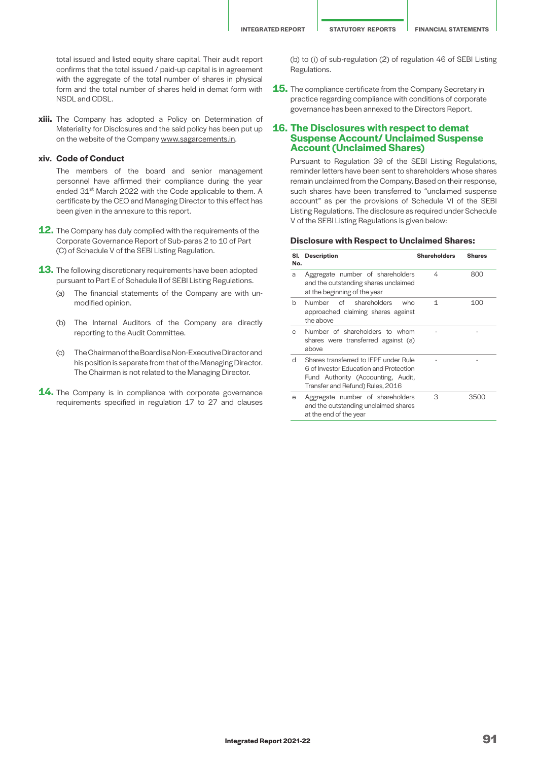total issued and listed equity share capital. Their audit report confirms that the total issued / paid-up capital is in agreement with the aggregate of the total number of shares in physical form and the total number of shares held in demat form with NSDL and CDSL.

**xiii.** The Company has adopted a Policy on Determination of Materiality for Disclosures and the said policy has been put up on the website of the Company [www.sagarcements.in](http://www.sagarcements.in).

## **xiv. Code of Conduct**

The members of the board and senior management personnel have affirmed their compliance during the year ended 31<sup>st</sup> March 2022 with the Code applicable to them. A certificate by the CEO and Managing Director to this effect has been given in the annexure to this report.

- **12.** The Company has duly complied with the requirements of the Corporate Governance Report of Sub-paras 2 to 10 of Part (C) of Schedule V of the SEBI Listing Regulation.
- **13.** The following discretionary requirements have been adopted pursuant to Part E of Schedule II of SEBI Listing Regulations.
	- (a) The financial statements of the Company are with unmodified opinion.
	- (b) The Internal Auditors of the Company are directly reporting to the Audit Committee.
	- (c) The Chairman of the Board is a Non-Executive Director and his position is separate from that of the Managing Director. The Chairman is not related to the Managing Director.
- 14. The Company is in compliance with corporate governance requirements specified in regulation 17 to 27 and clauses

(b) to (i) of sub-regulation (2) of regulation 46 of SEBI Listing Regulations.

**15.** The compliance certificate from the Company Secretary in practice regarding compliance with conditions of corporate governance has been annexed to the Directors Report.

## **16. The Disclosures with respect to demat Suspense Account/ Unclaimed Suspense Account (Unclaimed Shares)**

Pursuant to Regulation 39 of the SEBI Listing Regulations, reminder letters have been sent to shareholders whose shares remain unclaimed from the Company. Based on their response, such shares have been transferred to "unclaimed suspense account" as per the provisions of Schedule VI of the SEBI Listing Regulations. The disclosure as required under Schedule V of the SEBI Listing Regulations is given below:

#### **Disclosure with Respect to Unclaimed Shares:**

| SI.<br>No. | <b>Description</b>                                                                                                                                        | <b>Shareholders</b> | <b>Shares</b> |
|------------|-----------------------------------------------------------------------------------------------------------------------------------------------------------|---------------------|---------------|
| a          | Aggregate number of shareholders<br>and the outstanding shares unclaimed<br>at the beginning of the year                                                  | 4                   | 800           |
| h          | Number of shareholders<br>who<br>approached claiming shares against<br>the above                                                                          | 1                   | 100           |
| C          | Number of shareholders to whom<br>shares were transferred against (a)<br>above                                                                            |                     |               |
| d          | Shares transferred to IFPF under Rule<br>6 of Investor Education and Protection<br>Fund Authority (Accounting, Audit,<br>Transfer and Refund) Rules, 2016 |                     |               |
| е          | Aggregate number of shareholders<br>and the outstanding unclaimed shares<br>at the end of the year                                                        | З                   | 3500          |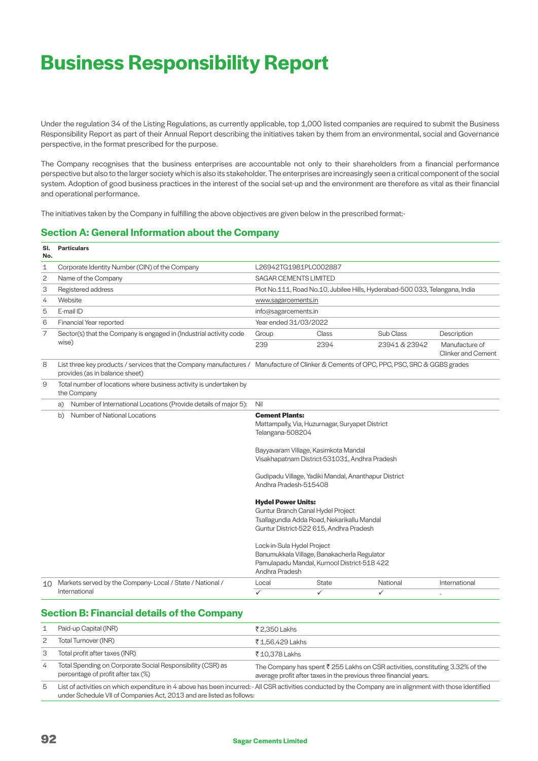# **Business Responsibility Report**

Under the regulation 34 of the Listing Regulations, as currently applicable, top 1,000 listed companies are required to submit the Business Responsibility Report as part of their Annual Report describing the initiatives taken by them from an environmental, social and Governance perspective, in the format prescribed for the purpose.

The Company recognises that the business enterprises are accountable not only to their shareholders from a financial performance perspective but also to the larger society which is also its stakeholder. The enterprises are increasingly seen a critical component of the social system. Adoption of good business practices in the interest of the social set-up and the environment are therefore as vital as their financial and operational performance.

The initiatives taken by the Company in fulfilling the above objectives are given below in the prescribed format:-

# **Section A: General Information about the Company**

| SI.<br>No. | <b>Particulars</b>                                                                                                                                                        |                                                                                                                                                         |              |                                                                             |                                      |  |  |
|------------|---------------------------------------------------------------------------------------------------------------------------------------------------------------------------|---------------------------------------------------------------------------------------------------------------------------------------------------------|--------------|-----------------------------------------------------------------------------|--------------------------------------|--|--|
| 1          | Corporate Identity Number (CIN) of the Company                                                                                                                            | L26942TG1981PLC002887                                                                                                                                   |              |                                                                             |                                      |  |  |
| 2          | Name of the Company                                                                                                                                                       | <b>SAGAR CEMENTS LIMITED</b>                                                                                                                            |              |                                                                             |                                      |  |  |
| 3          | Registered address                                                                                                                                                        |                                                                                                                                                         |              | Plot No.111, Road No.10, Jubilee Hills, Hyderabad-500 033, Telangana, India |                                      |  |  |
| 4          | Website                                                                                                                                                                   | www.sagarcements.in                                                                                                                                     |              |                                                                             |                                      |  |  |
| 5          | E-mail ID                                                                                                                                                                 | info@sagarcements.in                                                                                                                                    |              |                                                                             |                                      |  |  |
| 6          | Financial Year reported                                                                                                                                                   | Year ended 31/03/2022                                                                                                                                   |              |                                                                             |                                      |  |  |
| 7          | Sector(s) that the Company is engaged in (Industrial activity code                                                                                                        | Group                                                                                                                                                   | Class        | Sub Class                                                                   | Description                          |  |  |
|            | wise)                                                                                                                                                                     | 239                                                                                                                                                     | 2394         | 23941 & 23942                                                               | Manufacture of<br>Clinker and Cement |  |  |
| 8          | List three key products / services that the Company manufactures / Manufacture of Clinker & Cements of OPC, PPC, PSC, SRC & GGBS grades<br>provides (as in balance sheet) |                                                                                                                                                         |              |                                                                             |                                      |  |  |
| 9          | Total number of locations where business activity is undertaken by<br>the Company                                                                                         |                                                                                                                                                         |              |                                                                             |                                      |  |  |
|            | Number of International Locations (Provide details of major 5):<br>a)                                                                                                     | Nil                                                                                                                                                     |              |                                                                             |                                      |  |  |
|            | Number of National Locations<br>b)                                                                                                                                        | <b>Cement Plants:</b><br>Mattampally, Via, Huzurnagar, Suryapet District<br>Telangana-508204                                                            |              |                                                                             |                                      |  |  |
|            |                                                                                                                                                                           | Bayyavaram Village, Kasimkota Mandal<br>Visakhapatnam District-531031, Andhra Pradesh                                                                   |              |                                                                             |                                      |  |  |
|            |                                                                                                                                                                           | Gudipadu Village, Yadiki Mandal, Ananthapur District<br>Andhra Pradesh-515408                                                                           |              |                                                                             |                                      |  |  |
|            |                                                                                                                                                                           | <b>Hydel Power Units:</b><br>Guntur Branch Canal Hydel Project<br>Tsallagundla Adda Road, Nekarikallu Mandal<br>Guntur District-522 615, Andhra Pradesh |              |                                                                             |                                      |  |  |
|            |                                                                                                                                                                           | Lock-in-Sula Hydel Project<br>Banumukkala Village, Banakacherla Regulator<br>Pamulapadu Mandal, Kurnool District-518 422<br>Andhra Pradesh              |              |                                                                             |                                      |  |  |
| 10         | Markets served by the Company-Local / State / National /                                                                                                                  | Local                                                                                                                                                   | <b>State</b> | National                                                                    | International                        |  |  |
|            | International                                                                                                                                                             | $\checkmark$                                                                                                                                            | $\checkmark$ | $\checkmark$                                                                |                                      |  |  |

# **Section B: Financial details of the Company**

|   | Paid-up Capital (INR)                                                                            | ₹ 2.350 Lakhs                                                                                                                                                  |
|---|--------------------------------------------------------------------------------------------------|----------------------------------------------------------------------------------------------------------------------------------------------------------------|
| 2 | Total Turnover (INR)                                                                             | ₹ 1.56.429 Lakhs                                                                                                                                               |
| З | Total profit after taxes (INR)                                                                   | ₹ 10.378 Lakhs                                                                                                                                                 |
| 4 | Total Spending on Corporate Social Responsibility (CSR) as<br>percentage of profit after tax (%) | The Company has spent $\bar{\tau}$ 255 Lakhs on CSR activities, constituting 3.32% of the<br>average profit after taxes in the previous three financial years. |
| 5 |                                                                                                  | List of activities on which expenditure in 4 above has been incurred: - All CSR activities conducted by the Company are in alignment with those identified     |

ivities conducted by the Company are in alignment with those identi under Schedule VII of Companies Act, 2013 and are listed as follows: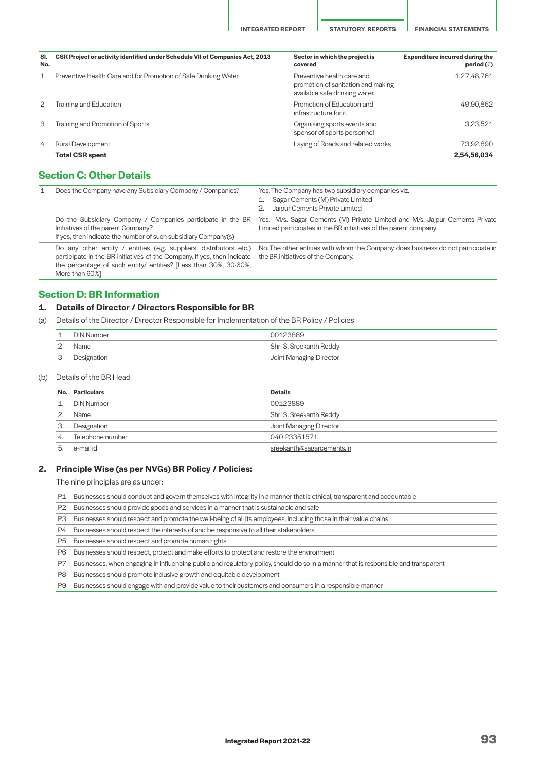**INTEGRATED REPORT STATUTORY REPORTS FINANCIAL STATEMENTS**

| SI.<br>No. | CSR Project or activity identified under Schedule VII of Companies Act, 2013 | Sector in which the project is<br>covered                                                          | <b>Expenditure incurred during the</b><br>period $(\bar{z})$ |
|------------|------------------------------------------------------------------------------|----------------------------------------------------------------------------------------------------|--------------------------------------------------------------|
| 1          | Preventive Health Care and for Promotion of Safe Drinking Water              | Preventive health care and<br>promotion of sanitation and making<br>available safe drinking water. | 1,27,48,761                                                  |
| 2          | Training and Education                                                       | Promotion of Education and<br>infrastructure for it.                                               | 49.90.862                                                    |
| 3          | Training and Promotion of Sports                                             | Organising sports events and<br>sponsor of sports personnel                                        | 3,23,521                                                     |
| 4          | <b>Rural Development</b>                                                     | Laying of Roads and related works                                                                  | 73,92,890                                                    |
|            | <b>Total CSR spent</b>                                                       |                                                                                                    | 2,54,56,034                                                  |

# **Section C: Other Details**

| 1 | Does the Company have any Subsidiary Company / Companies?                                                                                                                                                                           | Yes. The Company has two subsidiary companies viz.<br>Sagar Cements (M) Private Limited<br>Jaipur Cements Private Limited                        |  |  |  |
|---|-------------------------------------------------------------------------------------------------------------------------------------------------------------------------------------------------------------------------------------|--------------------------------------------------------------------------------------------------------------------------------------------------|--|--|--|
|   | Do the Subsidiary Company / Companies participate in the BR<br>Initiatives of the parent Company?<br>If yes, then indicate the number of such subsidiary Company(s)                                                                 | Yes. M/s. Sagar Cements (M) Private Limited and M/s. Jajpur Cements Private<br>Limited participates in the BR initiatives of the parent company. |  |  |  |
|   | Do any other entity / entities (e.g. suppliers, distributors etc.)<br>participate in the BR initiatives of the Company. If yes, then indicate<br>the percentage of such entity/ entities? [Less than 30%, 30-60%,<br>More than 60%] | No. The other entities with whom the Company does business do not participate in<br>the BR initiatives of the Company.                           |  |  |  |

# **Section D: BR Information**

## **1. Details of Director / Directors Responsible for BR**

(a) Details of the Director / Director Responsible for Implementation of the BR Policy / Policies

| ᅩ        | DIN Number  |                         |  |  |
|----------|-------------|-------------------------|--|--|
| <u>_</u> | Name        | Shri S. Sreekanth Reddy |  |  |
| ب        | Designation | Joint Managing Director |  |  |

(b) Details of the BR Head

|                | No. Particulars   | <b>Details</b>            |
|----------------|-------------------|---------------------------|
| $\overline{1}$ | <b>DIN Number</b> | 00123889                  |
|                | Name              | Shri S. Sreekanth Reddy   |
| З.             | Designation       | Joint Managing Director   |
| 4.             | Telephone number  | 040 23351571              |
| 5.             | e-mail id         | sreekanth@sagarcements.in |
|                |                   |                           |

#### **2. Principle Wise (as per NVGs) BR Policy / Policies:**

The nine principles are as under:

P1 Businesses should conduct and govern themselves with integrity in a manner that is ethical, transparent and accountable

P2 Businesses should provide goods and services in a manner that is sustainable and safe

- P3 Businesses should respect and promote the well-being of all its employees, including those in their value chains
- P4 Businesses should respect the interests of and be responsive to all their stakeholders

P5 Businesses should respect and promote human rights

P6 Businesses should respect, protect and make efforts to protect and restore the environment

P7 Businesses, when engaging in influencing public and regulatory policy, should do so in a manner that is responsible and transparent

P8 Businesses should promote inclusive growth and equitable development

P9 Businesses should engage with and provide value to their customers and consumers in a responsible manner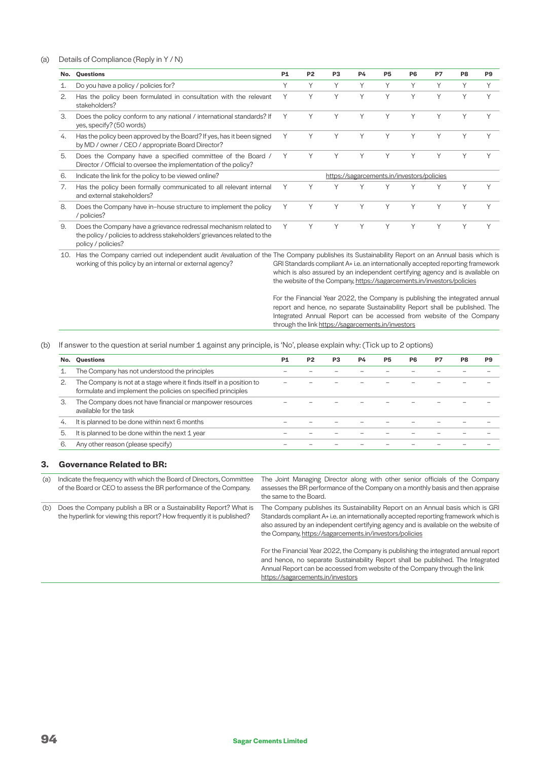## (a) Details of Compliance (Reply in Y / N)

| No. | Questions                                                                                                                                    | <b>P1</b> | P <sub>2</sub> | P <sub>3</sub> | <b>P4</b> | P <sub>5</sub> | P <sub>6</sub>                             | P7           | P8           | P <sub>9</sub> |
|-----|----------------------------------------------------------------------------------------------------------------------------------------------|-----------|----------------|----------------|-----------|----------------|--------------------------------------------|--------------|--------------|----------------|
| 1.  | Do you have a policy / policies for?                                                                                                         | Υ         | Υ              | $\checkmark$   | Υ         | Υ              | Υ                                          | $\checkmark$ |              |                |
| 2.  | Has the policy been formulated in consultation with the relevant<br>stakeholders?                                                            | Υ         | Y              | $\checkmark$   | Υ         | Y              | Υ                                          | $\checkmark$ | $\checkmark$ | $\checkmark$   |
| 3.  | Does the policy conform to any national / international standards? If<br>yes, specify? (50 words)                                            |           |                |                |           | Υ              | Υ                                          |              |              |                |
| 4.  | Has the policy been approved by the Board? If yes, has it been signed<br>by MD / owner / CEO / appropriate Board Director?                   |           | Y              |                |           | Υ              | Υ                                          |              |              |                |
| 5.  | Does the Company have a specified committee of the Board /<br>Director / Official to oversee the implementation of the policy?               |           |                |                |           | Υ              | Υ                                          | $\checkmark$ |              |                |
| 6.  | Indicate the link for the policy to be viewed online?                                                                                        |           |                |                |           |                | https://sagarcements.in/investors/policies |              |              |                |
| 7.  | Has the policy been formally communicated to all relevant internal<br>and external stakeholders?                                             | Υ         | Υ              |                |           | $\checkmark$   | $\vee$                                     |              | $\checkmark$ |                |
| 8.  | Does the Company have in-house structure to implement the policy<br>/ policies?                                                              |           | Υ              |                | Υ         | Υ              | Υ                                          | Υ            |              |                |
| 9.  | Does the Company have a grievance redressal mechanism related to<br>the policy / policies to address stakeholders' grievances related to the |           |                |                |           | Υ              | Υ                                          | $\checkmark$ | $\checkmark$ |                |

policy / policies?

working of this policy by an internal or external agency?

10. Has the Company carried out independent audit /evaluation of the The Company publishes its Sustainability Report on an Annual basis which is GRI Standards compliant A+ i.e. an internationally accepted reporting framework which is also assured by an independent certifying agency and is available on the website of the Company, <https://sagarcements.in/investors/policies>

> For the Financial Year 2022, the Company is publishing the integrated annual report and hence, no separate Sustainability Report shall be published. The Integrated Annual Report can be accessed from website of the Company through the link [https://sagarcements.in/investors](https://sagarcements.in/investors/policies)

#### (b) If answer to the question at serial number 1 against any principle, is 'No', please explain why: (Tick up to 2 options)

|    | No. Questions                                                                                                                        | P1 | P <sub>2</sub> | P3 | <b>P4</b> | P5 | P6 | P7 | P8 | P9 |
|----|--------------------------------------------------------------------------------------------------------------------------------------|----|----------------|----|-----------|----|----|----|----|----|
|    | The Company has not understood the principles                                                                                        |    |                |    |           |    |    |    |    |    |
|    | The Company is not at a stage where it finds itself in a position to<br>formulate and implement the policies on specified principles |    |                |    |           |    |    |    |    |    |
| З. | The Company does not have financial or manpower resources<br>available for the task                                                  |    |                |    |           |    |    |    |    |    |
| 4. | It is planned to be done within next 6 months                                                                                        |    |                |    |           |    |    |    |    |    |
| 5. | It is planned to be done within the next 1 year                                                                                      |    |                |    |           |    |    |    |    |    |
|    | Any other reason (please specify)                                                                                                    |    |                |    |           |    |    |    |    |    |

## **3. Governance Related to BR:**

of the Board or CEO to assess the BR performance of the Company.

(b) Does the Company publish a BR or a Sustainability Report? What is the hyperlink for viewing this report? How frequently it is published?

(a) Indicate the frequency with which the Board of Directors, Committee The Joint Managing Director along with other senior officials of the Company assesses the BR performance of the Company on a monthly basis and then appraise the same to the Board.

> The Company publishes its Sustainability Report on an Annual basis which is GRI Standards compliant A+ i.e. an internationally accepted reporting framework which is also assured by an independent certifying agency and is available on the website of the Company,<https://sagarcements.in/investors/policies>

> For the Financial Year 2022, the Company is publishing the integrated annual report and hence, no separate Sustainability Report shall be published. The Integrated Annual Report can be accessed from website of the Company through the link [https://sagarcements.in/investors](https://sagarcements.in/investors/policies)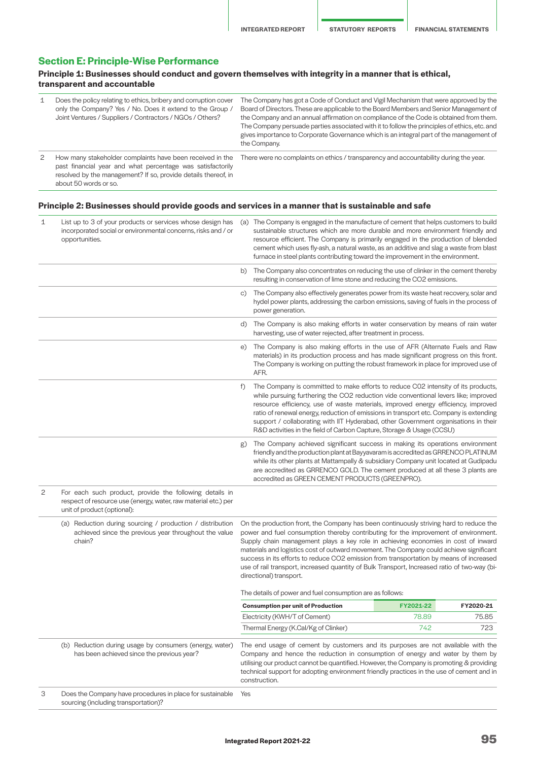# **Section E: Principle-Wise Performance**

## **Principle 1: Businesses should conduct and govern themselves with integrity in a manner that is ethical, transparent and accountable**

| 1 | Does the policy relating to ethics, bribery and corruption cover<br>only the Company? Yes / No. Does it extend to the Group /<br>Joint Ventures / Suppliers / Contractors / NGOs / Others?                         | The Company has got a Code of Conduct and Vigil Mechanism that were approved by the<br>Board of Directors. These are applicable to the Board Members and Senior Management of<br>the Company and an annual affirmation on compliance of the Code is obtained from them.<br>The Company persuade parties associated with it to follow the principles of ethics, etc. and<br>gives importance to Corporate Governance which is an integral part of the management of<br>the Company. |  |  |  |
|---|--------------------------------------------------------------------------------------------------------------------------------------------------------------------------------------------------------------------|------------------------------------------------------------------------------------------------------------------------------------------------------------------------------------------------------------------------------------------------------------------------------------------------------------------------------------------------------------------------------------------------------------------------------------------------------------------------------------|--|--|--|
| 2 | How many stakeholder complaints have been received in the<br>past financial year and what percentage was satisfactorily<br>resolved by the management? If so, provide details thereof, in<br>about 50 words or so. | There were no complaints on ethics / transparency and accountability during the year.                                                                                                                                                                                                                                                                                                                                                                                              |  |  |  |

# **Principle 2: Businesses should provide goods and services in a manner that is sustainable and safe**

| 1 | List up to 3 of your products or services whose design has<br>incorporated social or environmental concerns, risks and / or<br>opportunities.            |           | (a) The Company is engaged in the manufacture of cement that helps customers to build<br>sustainable structures which are more durable and more environment friendly and<br>resource efficient. The Company is primarily engaged in the production of blended<br>cement which uses fly-ash, a natural waste, as an additive and slag a waste from blast<br>furnace in steel plants contributing toward the improvement in the environment.                                                                                                                                          |                    |                    |  |
|---|----------------------------------------------------------------------------------------------------------------------------------------------------------|-----------|-------------------------------------------------------------------------------------------------------------------------------------------------------------------------------------------------------------------------------------------------------------------------------------------------------------------------------------------------------------------------------------------------------------------------------------------------------------------------------------------------------------------------------------------------------------------------------------|--------------------|--------------------|--|
|   |                                                                                                                                                          |           | b) The Company also concentrates on reducing the use of clinker in the cement thereby<br>resulting in conservation of lime stone and reducing the CO2 emissions.                                                                                                                                                                                                                                                                                                                                                                                                                    |                    |                    |  |
|   |                                                                                                                                                          | C)        | The Company also effectively generates power from its waste heat recovery, solar and<br>hydel power plants, addressing the carbon emissions, saving of fuels in the process of<br>power generation.                                                                                                                                                                                                                                                                                                                                                                                 |                    |                    |  |
|   |                                                                                                                                                          |           | d) The Company is also making efforts in water conservation by means of rain water<br>harvesting, use of water rejected, after treatment in process.                                                                                                                                                                                                                                                                                                                                                                                                                                |                    |                    |  |
|   |                                                                                                                                                          | e)        | The Company is also making efforts in the use of AFR (Alternate Fuels and Raw<br>materials) in its production process and has made significant progress on this front.<br>The Company is working on putting the robust framework in place for improved use of<br>AFR.                                                                                                                                                                                                                                                                                                               |                    |                    |  |
|   |                                                                                                                                                          | $\ddot{}$ | The Company is committed to make efforts to reduce CO2 intensity of its products,<br>while pursuing furthering the CO2 reduction vide conventional levers like; improved<br>resource efficiency, use of waste materials, improved energy efficiency, improved<br>ratio of renewal energy, reduction of emissions in transport etc. Company is extending<br>support / collaborating with IIT Hyderabad, other Government organisations in their<br>R&D activities in the field of Carbon Capture, Storage & Usage (CCSU)                                                             |                    |                    |  |
|   |                                                                                                                                                          | g)        | The Company achieved significant success in making its operations environment<br>friendly and the production plant at Bayyavaram is accredited as GRRENCO PLATINUM<br>while its other plants at Mattampally & subsidiary Company unit located at Gudipadu<br>are accredited as GRRENCO GOLD. The cement produced at all these 3 plants are<br>accredited as GREEN CEMENT PRODUCTS (GREENPRO).                                                                                                                                                                                       |                    |                    |  |
| 2 | For each such product, provide the following details in<br>respect of resource use (energy, water, raw material etc.) per<br>unit of product (optional): |           |                                                                                                                                                                                                                                                                                                                                                                                                                                                                                                                                                                                     |                    |                    |  |
|   | (a) Reduction during sourcing / production / distribution<br>achieved since the previous year throughout the value<br>chain?                             |           | On the production front, the Company has been continuously striving hard to reduce the<br>power and fuel consumption thereby contributing for the improvement of environment.<br>Supply chain management plays a key role in achieving economies in cost of inward<br>materials and logistics cost of outward movement. The Company could achieve significant<br>success in its efforts to reduce CO2 emission from transportation by means of increased<br>use of rail transport, increased quantity of Bulk Transport, Increased ratio of two-way (bi-<br>directional) transport. |                    |                    |  |
|   |                                                                                                                                                          |           | The details of power and fuel consumption are as follows:                                                                                                                                                                                                                                                                                                                                                                                                                                                                                                                           |                    |                    |  |
|   |                                                                                                                                                          |           | <b>Consumption per unit of Production</b>                                                                                                                                                                                                                                                                                                                                                                                                                                                                                                                                           | FY2021-22<br>78.89 | FY2020-21<br>75.85 |  |
|   |                                                                                                                                                          |           | Electricity (KWH/T of Cement)<br>Thermal Energy (K.Cal/Kg of Clinker)                                                                                                                                                                                                                                                                                                                                                                                                                                                                                                               | 742                | 723                |  |
|   | (b) Reduction during usage by consumers (energy, water)<br>has been achieved since the previous year?                                                    |           | The end usage of cement by customers and its purposes are not available with the<br>Company and hence the reduction in consumption of energy and water by them by<br>utilising our product cannot be quantified. However, the Company is promoting & providing<br>technical support for adopting environment friendly practices in the use of cement and in<br>construction.                                                                                                                                                                                                        |                    |                    |  |
| 3 | Does the Company have procedures in place for sustainable<br>sourcing (including transportation)?                                                        | Yes       |                                                                                                                                                                                                                                                                                                                                                                                                                                                                                                                                                                                     |                    |                    |  |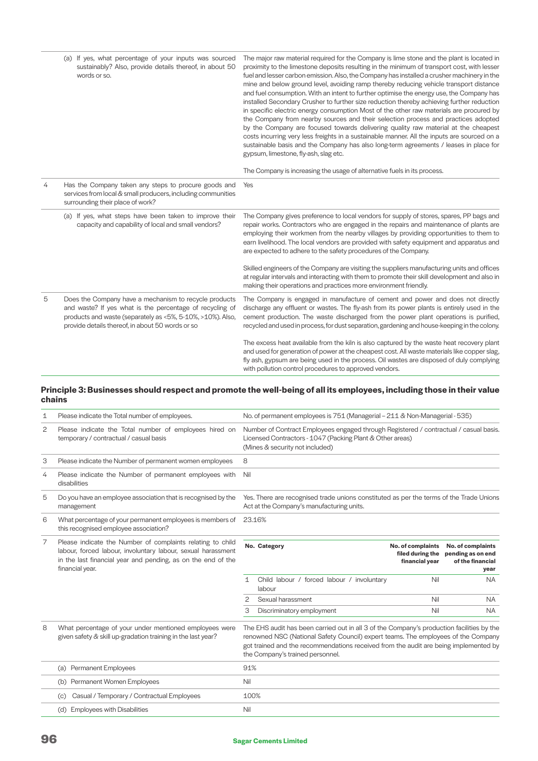|   | (a) If yes, what percentage of your inputs was sourced<br>sustainably? Also, provide details thereof, in about 50<br>words or so.                                                                                                   | The major raw material required for the Company is lime stone and the plant is located in<br>proximity to the limestone deposits resulting in the minimum of transport cost, with lesser<br>fuel and lesser carbon emission. Also, the Company has installed a crusher machinery in the<br>mine and below ground level, avoiding ramp thereby reducing vehicle transport distance<br>and fuel consumption. With an intent to further optimise the energy use, the Company has<br>installed Secondary Crusher to further size reduction thereby achieving further reduction<br>in specific electric energy consumption Most of the other raw materials are procured by<br>the Company from nearby sources and their selection process and practices adopted<br>by the Company are focused towards delivering quality raw material at the cheapest<br>costs incurring very less freights in a sustainable manner. All the inputs are sourced on a<br>sustainable basis and the Company has also long-term agreements / leases in place for<br>gypsum, limestone, fly-ash, slag etc.<br>The Company is increasing the usage of alternative fuels in its process. |
|---|-------------------------------------------------------------------------------------------------------------------------------------------------------------------------------------------------------------------------------------|---------------------------------------------------------------------------------------------------------------------------------------------------------------------------------------------------------------------------------------------------------------------------------------------------------------------------------------------------------------------------------------------------------------------------------------------------------------------------------------------------------------------------------------------------------------------------------------------------------------------------------------------------------------------------------------------------------------------------------------------------------------------------------------------------------------------------------------------------------------------------------------------------------------------------------------------------------------------------------------------------------------------------------------------------------------------------------------------------------------------------------------------------------------|
| 4 | Has the Company taken any steps to procure goods and<br>services from local & small producers, including communities<br>surrounding their place of work?                                                                            | Yes                                                                                                                                                                                                                                                                                                                                                                                                                                                                                                                                                                                                                                                                                                                                                                                                                                                                                                                                                                                                                                                                                                                                                           |
|   | (a) If yes, what steps have been taken to improve their<br>capacity and capability of local and small vendors?                                                                                                                      | The Company gives preference to local vendors for supply of stores, spares, PP bags and<br>repair works. Contractors who are engaged in the repairs and maintenance of plants are<br>employing their workmen from the nearby villages by providing opportunities to them to<br>earn livelihood. The local vendors are provided with safety equipment and apparatus and<br>are expected to adhere to the safety procedures of the Company.                                                                                                                                                                                                                                                                                                                                                                                                                                                                                                                                                                                                                                                                                                                     |
|   |                                                                                                                                                                                                                                     | Skilled engineers of the Company are visiting the suppliers manufacturing units and offices<br>at regular intervals and interacting with them to promote their skill development and also in<br>making their operations and practices more environment friendly.                                                                                                                                                                                                                                                                                                                                                                                                                                                                                                                                                                                                                                                                                                                                                                                                                                                                                              |
| 5 | Does the Company have a mechanism to recycle products<br>and waste? If yes what is the percentage of recycling of<br>products and waste (separately as <5%, 5-10%, >10%). Also,<br>provide details thereof, in about 50 words or so | The Company is engaged in manufacture of cement and power and does not directly<br>discharge any effluent or wastes. The fly-ash from its power plants is entirely used in the<br>cement production. The waste discharged from the power plant operations is purified,<br>recycled and used in process, for dust separation, gardening and house-keeping in the colony.                                                                                                                                                                                                                                                                                                                                                                                                                                                                                                                                                                                                                                                                                                                                                                                       |
|   |                                                                                                                                                                                                                                     | The excess heat available from the kiln is also captured by the waste heat recovery plant<br>and used for generation of power at the cheapest cost. All waste materials like copper slag,<br>fly ash, gypsum are being used in the process. Oil wastes are disposed of duly complying<br>with pollution control procedures to approved vendors.                                                                                                                                                                                                                                                                                                                                                                                                                                                                                                                                                                                                                                                                                                                                                                                                               |

## **Principle 3: Businesses should respect and promote the well-being of all its employees, including those in their value chains**

| 1 | Please indicate the Total number of employees.                                                                                                                                                                |              | No. of permanent employees is 751 (Managerial - 211 & Non-Managerial - 535)                                                                                                                                                                                                                                |                                                         |                                                                    |
|---|---------------------------------------------------------------------------------------------------------------------------------------------------------------------------------------------------------------|--------------|------------------------------------------------------------------------------------------------------------------------------------------------------------------------------------------------------------------------------------------------------------------------------------------------------------|---------------------------------------------------------|--------------------------------------------------------------------|
| 2 | Please indicate the Total number of employees hired on<br>temporary / contractual / casual basis                                                                                                              |              | Number of Contract Employees engaged through Registered / contractual / casual basis.<br>Licensed Contractors - 1047 (Packing Plant & Other areas)<br>(Mines & security not included)                                                                                                                      |                                                         |                                                                    |
| 3 | Please indicate the Number of permanent women employees                                                                                                                                                       | 8            |                                                                                                                                                                                                                                                                                                            |                                                         |                                                                    |
| 4 | Please indicate the Number of permanent employees with<br>disabilities                                                                                                                                        | Nil          |                                                                                                                                                                                                                                                                                                            |                                                         |                                                                    |
| 5 | Do you have an employee association that is recognised by the<br>management                                                                                                                                   |              | Yes. There are recognised trade unions constituted as per the terms of the Trade Unions<br>Act at the Company's manufacturing units.                                                                                                                                                                       |                                                         |                                                                    |
| 6 | What percentage of your permanent employees is members of<br>this recognised employee association?                                                                                                            |              | 23.16%                                                                                                                                                                                                                                                                                                     |                                                         |                                                                    |
| 7 | Please indicate the Number of complaints relating to child<br>labour, forced labour, involuntary labour, sexual harassment<br>in the last financial year and pending, as on the end of the<br>financial year. |              | No. Category                                                                                                                                                                                                                                                                                               | No. of complaints<br>filed during the<br>financial year | No. of complaints<br>pending as on end<br>of the financial<br>year |
|   |                                                                                                                                                                                                               | $\mathbf{1}$ | Child labour / forced labour / involuntary<br>labour                                                                                                                                                                                                                                                       | Nil                                                     | <b>NA</b>                                                          |
|   |                                                                                                                                                                                                               | 2            | Sexual harassment                                                                                                                                                                                                                                                                                          | Nil                                                     | <b>NA</b>                                                          |
|   |                                                                                                                                                                                                               | 3            | Discriminatory employment                                                                                                                                                                                                                                                                                  | Nil                                                     | <b>NA</b>                                                          |
| 8 | What percentage of your under mentioned employees were<br>given safety & skill up-gradation training in the last year?                                                                                        |              | The EHS audit has been carried out in all 3 of the Company's production facilities by the<br>renowned NSC (National Safety Council) expert teams. The employees of the Company<br>got trained and the recommendations received from the audit are being implemented by<br>the Company's trained personnel. |                                                         |                                                                    |
|   | (a) Permanent Employees                                                                                                                                                                                       | 91%          |                                                                                                                                                                                                                                                                                                            |                                                         |                                                                    |
|   | (b) Permanent Women Employees                                                                                                                                                                                 | Nil          |                                                                                                                                                                                                                                                                                                            |                                                         |                                                                    |
|   | Casual / Temporary / Contractual Employees<br>(c)                                                                                                                                                             | 100%         |                                                                                                                                                                                                                                                                                                            |                                                         |                                                                    |
|   | (d) Employees with Disabilities                                                                                                                                                                               | Nil          |                                                                                                                                                                                                                                                                                                            |                                                         |                                                                    |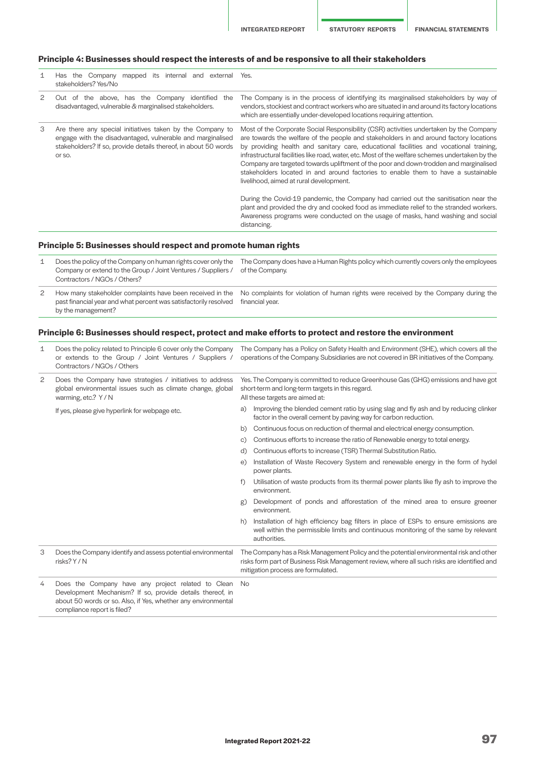**INTEGRATED REPORT STATUTORY REPORTS FINANCIAL STATEMENTS**

# **Principle 4: Businesses should respect the interests of and be responsive to all their stakeholders**

| Has the Company mapped its internal and<br>external<br>stakeholders? Yes/No                                                                                                                          | Yes.                                                                                                                                                                                                                                                                                                                                                                                                                                                                                                                                                                                                   |
|------------------------------------------------------------------------------------------------------------------------------------------------------------------------------------------------------|--------------------------------------------------------------------------------------------------------------------------------------------------------------------------------------------------------------------------------------------------------------------------------------------------------------------------------------------------------------------------------------------------------------------------------------------------------------------------------------------------------------------------------------------------------------------------------------------------------|
| Out of the above, has the Company identified the<br>disadvantaged, vulnerable & marginalised stakeholders.                                                                                           | The Company is in the process of identifying its marginalised stakeholders by way of<br>vendors, stockiest and contract workers who are situated in and around its factory locations<br>which are essentially under-developed locations requiring attention.                                                                                                                                                                                                                                                                                                                                           |
| Are there any special initiatives taken by the Company to<br>engage with the disadvantaged, vulnerable and marginalised<br>stakeholders? If so, provide details thereof, in about 50 words<br>or so. | Most of the Corporate Social Responsibility (CSR) activities undertaken by the Company<br>are towards the welfare of the people and stakeholders in and around factory locations<br>by providing health and sanitary care, educational facilities and vocational training,<br>infrastructural facilities like road, water, etc. Most of the welfare schemes undertaken by the<br>Company are targeted towards upliftment of the poor and down-trodden and marginalised<br>stakeholders located in and around factories to enable them to have a sustainable<br>livelihood, aimed at rural development. |
|                                                                                                                                                                                                      | During the Covid-19 pandemic, the Company had carried out the sanitisation near the<br>plant and provided the dry and cooked food as immediate relief to the stranded workers.<br>Awareness programs were conducted on the usage of masks, hand washing and social<br>distancing.                                                                                                                                                                                                                                                                                                                      |
|                                                                                                                                                                                                      |                                                                                                                                                                                                                                                                                                                                                                                                                                                                                                                                                                                                        |

# **Principle 5: Businesses should respect and promote human rights**

|   | Does the policy of the Company on human rights cover only the<br>Company or extend to the Group / Joint Ventures / Suppliers /                      | The Company does have a Human Rights policy which currently covers only the employees<br>of the Company. |
|---|-----------------------------------------------------------------------------------------------------------------------------------------------------|----------------------------------------------------------------------------------------------------------|
|   | Contractors / NGOs / Others?                                                                                                                        |                                                                                                          |
| 2 | How many stakeholder complaints have been received in the<br>past financial year and what percent was satisfactorily resolved<br>by the management? | No complaints for violation of human rights were received by the Company during the<br>financial vear.   |

# **Principle 6: Businesses should respect, protect and make efforts to protect and restore the environment**

| 1 | Does the policy related to Principle 6 cover only the Company<br>or extends to the Group / Joint Ventures / Suppliers /<br>Contractors / NGOs / Others                                                          |                                                                                                                                                                            | The Company has a Policy on Safety Health and Environment (SHE), which covers all the<br>operations of the Company. Subsidiaries are not covered in BR initiatives of the Company.                                           |
|---|-----------------------------------------------------------------------------------------------------------------------------------------------------------------------------------------------------------------|----------------------------------------------------------------------------------------------------------------------------------------------------------------------------|------------------------------------------------------------------------------------------------------------------------------------------------------------------------------------------------------------------------------|
| 2 | Does the Company have strategies / initiatives to address<br>global environmental issues such as climate change, global<br>warming, etc.? Y / N                                                                 | Yes. The Company is committed to reduce Greenhouse Gas (GHG) emissions and have got<br>short-term and long-term targets in this regard.<br>All these targets are aimed at: |                                                                                                                                                                                                                              |
|   | If yes, please give hyperlink for webpage etc.                                                                                                                                                                  | a)                                                                                                                                                                         | Improving the blended cement ratio by using slag and fly ash and by reducing clinker<br>factor in the overall cement by paving way for carbon reduction.                                                                     |
|   |                                                                                                                                                                                                                 | b)                                                                                                                                                                         | Continuous focus on reduction of thermal and electrical energy consumption.                                                                                                                                                  |
|   |                                                                                                                                                                                                                 | $\circ$ )                                                                                                                                                                  | Continuous efforts to increase the ratio of Renewable energy to total energy.                                                                                                                                                |
|   |                                                                                                                                                                                                                 | d)                                                                                                                                                                         | Continuous efforts to increase (TSR) Thermal Substitution Ratio.                                                                                                                                                             |
|   |                                                                                                                                                                                                                 | e)                                                                                                                                                                         | Installation of Waste Recovery System and renewable energy in the form of hydel<br>power plants.                                                                                                                             |
|   |                                                                                                                                                                                                                 |                                                                                                                                                                            | Utilisation of waste products from its thermal power plants like fly ash to improve the<br>environment.                                                                                                                      |
|   |                                                                                                                                                                                                                 | g)                                                                                                                                                                         | Development of ponds and afforestation of the mined area to ensure greener<br>environment.                                                                                                                                   |
|   |                                                                                                                                                                                                                 | h)                                                                                                                                                                         | Installation of high efficiency bag filters in place of ESPs to ensure emissions are<br>well within the permissible limits and continuous monitoring of the same by relevant<br>authorities.                                 |
| 3 | Does the Company identify and assess potential environmental<br>risks? Y / N                                                                                                                                    |                                                                                                                                                                            | The Company has a Risk Management Policy and the potential environmental risk and other<br>risks form part of Business Risk Management review, where all such risks are identified and<br>mitigation process are formulated. |
| 4 | Does the Company have any project related to Clean<br>Development Mechanism? If so, provide details thereof, in<br>about 50 words or so. Also, if Yes, whether any environmental<br>compliance report is filed? | No                                                                                                                                                                         |                                                                                                                                                                                                                              |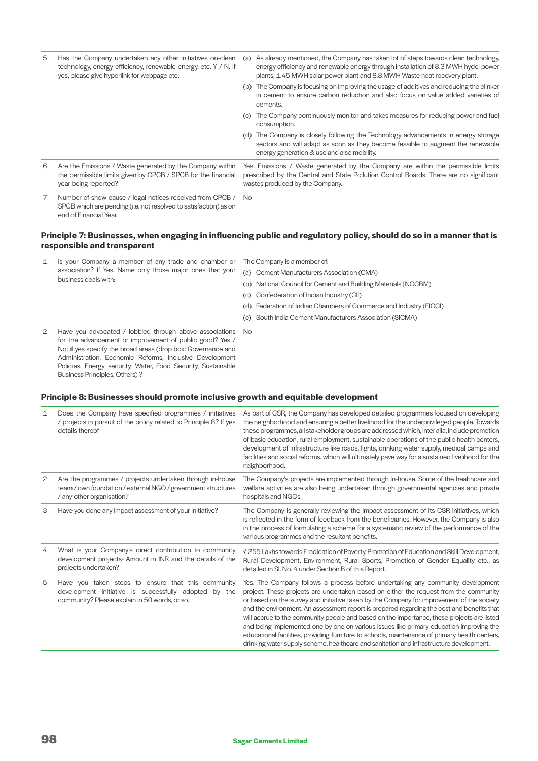| 5 | Has the Company undertaken any other initiatives on-clean<br>technology, energy efficiency, renewable energy, etc. Y / N. If<br>yes, please give hyperlink for webpage etc. | (a) | As already mentioned, the Company has taken lot of steps towards clean technology,<br>energy efficiency and renewable energy through installation of 8.3 MWH hydel power<br>plants, 1.45 MWH solar power plant and 8.8 MWH Waste heat recovery plant. |
|---|-----------------------------------------------------------------------------------------------------------------------------------------------------------------------------|-----|-------------------------------------------------------------------------------------------------------------------------------------------------------------------------------------------------------------------------------------------------------|
|   |                                                                                                                                                                             |     | (b) The Company is focusing on improving the usage of additives and reducing the clinker<br>in cement to ensure carbon reduction and also focus on value added varieties of<br>cements.                                                               |
|   |                                                                                                                                                                             | (c) | The Company continuously monitor and takes measures for reducing power and fuel<br>consumption.                                                                                                                                                       |
|   |                                                                                                                                                                             |     | (d) The Company is closely following the Technology advancements in energy storage<br>sectors and will adapt as soon as they become feasible to augment the renewable<br>energy generation & use and also mobility.                                   |
| 6 | Are the Emissions / Waste generated by the Company within<br>the permissible limits given by CPCB / SPCB for the financial<br>year being reported?                          |     | Yes. Emissions / Waste generated by the Company are within the permissible limits<br>prescribed by the Central and State Pollution Control Boards. There are no significant<br>wastes produced by the Company.                                        |
| 7 | Number of show cause / legal notices received from CPCB /<br>SPCB which are pending (i.e. not resolved to satisfaction) as on<br>end of Financial Year.                     | No. |                                                                                                                                                                                                                                                       |

## **Principle 7: Businesses, when engaging in influencing public and regulatory policy, should do so in a manner that is responsible and transparent**

| 1 | Is your Company a member of any trade and chamber or<br>association? If Yes, Name only those major ones that your<br>business deals with:                                                                                                                                                                                                                 | The Company is a member of:<br>(a) Cement Manufacturers Association (CMA)<br>(b) National Council for Cement and Building Materials (NCCBM)<br>(c) Confederation of Indian Industry (CII)<br>(d) Federation of Indian Chambers of Commerce and Industry (FICCI)<br>(e) South India Cement Manufacturers Association (SICMA) |
|---|-----------------------------------------------------------------------------------------------------------------------------------------------------------------------------------------------------------------------------------------------------------------------------------------------------------------------------------------------------------|-----------------------------------------------------------------------------------------------------------------------------------------------------------------------------------------------------------------------------------------------------------------------------------------------------------------------------|
| 2 | Have you advocated / lobbied through above associations No<br>for the advancement or improvement of public good? Yes /<br>No; if yes specify the broad areas (drop box: Governance and<br>Administration, Economic Reforms, Inclusive Development<br>Policies, Energy security, Water, Food Security, Sustainable<br><b>Business Principles, Others)?</b> |                                                                                                                                                                                                                                                                                                                             |

# **Principle 8: Businesses should promote inclusive growth and equitable development**

| 1              | Does the Company have specified programmes / initiatives<br>/ projects in pursuit of the policy related to Principle 8? If yes<br>details thereof               | As part of CSR, the Company has developed detailed programmes focused on developing<br>the neighborhood and ensuring a better livelihood for the underprivileged people. Towards<br>these programmes, all stakeholder groups are addressed which, inter alia, include promotion<br>of basic education, rural employment, sustainable operations of the public health centers,<br>development of infrastructure like roads, lights, drinking water supply, medical camps and<br>facilities and social reforms, which will ultimately pave way for a sustained livelihood for the<br>neighborhood.                                                                                                                                                          |
|----------------|-----------------------------------------------------------------------------------------------------------------------------------------------------------------|-----------------------------------------------------------------------------------------------------------------------------------------------------------------------------------------------------------------------------------------------------------------------------------------------------------------------------------------------------------------------------------------------------------------------------------------------------------------------------------------------------------------------------------------------------------------------------------------------------------------------------------------------------------------------------------------------------------------------------------------------------------|
| $\overline{c}$ | Are the programmes / projects undertaken through in-house<br>team / own foundation / external NGO / government structures<br>/ any other organisation?          | The Company's projects are implemented through In-house. Some of the healthcare and<br>welfare activities are also being undertaken through governmental agencies and private<br>hospitals and NGOs                                                                                                                                                                                                                                                                                                                                                                                                                                                                                                                                                       |
| 3              | Have you done any impact assessment of your initiative?                                                                                                         | The Company is generally reviewing the impact assessment of its CSR initiatives, which<br>is reflected in the form of feedback from the beneficiaries. However, the Company is also<br>in the process of formulating a scheme for a systematic review of the performance of the<br>various programmes and the resultant benefits.                                                                                                                                                                                                                                                                                                                                                                                                                         |
| 4              | What is your Company's direct contribution to community<br>development projects- Amount in INR and the details of the<br>projects undertaken?                   | ₹255 Lakhs towards Eradication of Poverty, Promotion of Education and Skill Development,<br>Rural Development, Environment, Rural Sports, Promotion of Gender Equality etc., as<br>detailed in Sl. No. 4 under Section B of this Report.                                                                                                                                                                                                                                                                                                                                                                                                                                                                                                                  |
| 5              | Have you taken steps to ensure that this community<br>development initiative is successfully adopted<br>by the<br>community? Please explain in 50 words, or so. | Yes. The Company follows a process before undertaking any community development<br>project. These projects are undertaken based on either the request from the community<br>or based on the survey and initiative taken by the Company for improvement of the society<br>and the environment. An assessment report is prepared regarding the cost and benefits that<br>will accrue to the community people and based on the importance, these projects are listed<br>and being implemented one by one on various issues like primary education improving the<br>educational facilities, providing furniture to schools, maintenance of primary health centers,<br>drinking water supply scheme, healthcare and sanitation and infrastructure development. |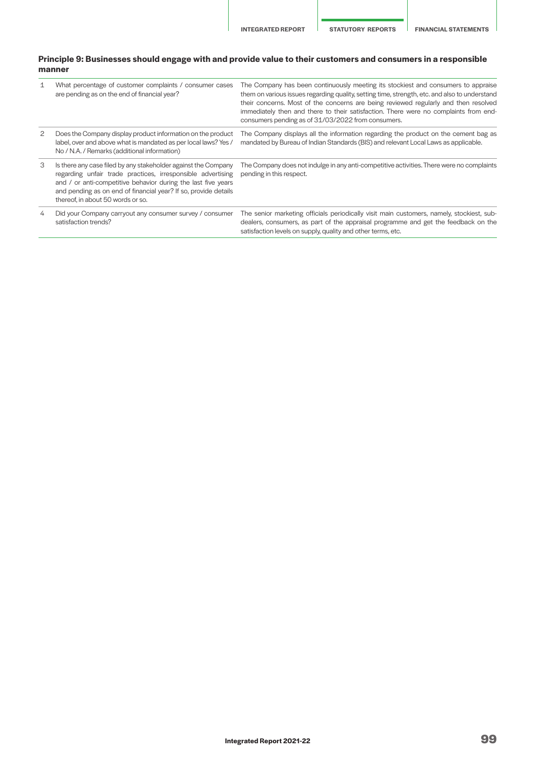## **Principle 9: Businesses should engage with and provide value to their customers and consumers in a responsible manner**

| $\mathbf{1}$ | What percentage of customer complaints / consumer cases<br>are pending as on the end of financial year?                                                                                                                                                                                                | The Company has been continuously meeting its stockiest and consumers to appraise<br>them on various issues regarding quality, setting time, strength, etc. and also to understand<br>their concerns. Most of the concerns are being reviewed regularly and then resolved<br>immediately then and there to their satisfaction. There were no complaints from end-<br>consumers pending as of 31/03/2022 from consumers. |
|--------------|--------------------------------------------------------------------------------------------------------------------------------------------------------------------------------------------------------------------------------------------------------------------------------------------------------|-------------------------------------------------------------------------------------------------------------------------------------------------------------------------------------------------------------------------------------------------------------------------------------------------------------------------------------------------------------------------------------------------------------------------|
| 2            | Does the Company display product information on the product<br>label, over and above what is mandated as per local laws? Yes /<br>No / N.A. / Remarks (additional information)                                                                                                                         | The Company displays all the information regarding the product on the cement bag as<br>mandated by Bureau of Indian Standards (BIS) and relevant Local Laws as applicable.                                                                                                                                                                                                                                              |
| 3            | Is there any case filed by any stakeholder against the Company<br>regarding unfair trade practices, irresponsible advertising<br>and / or anti-competitive behavior during the last five years<br>and pending as on end of financial year? If so, provide details<br>thereof, in about 50 words or so. | The Company does not indulge in any anti-competitive activities. There were no complaints<br>pending in this respect.                                                                                                                                                                                                                                                                                                   |
| 4            | Did your Company carryout any consumer survey / consumer<br>satisfaction trends?                                                                                                                                                                                                                       | The senior marketing officials periodically visit main customers, namely, stockiest, sub-<br>dealers, consumers, as part of the appraisal programme and get the feedback on the<br>satisfaction levels on supply, quality and other terms, etc.                                                                                                                                                                         |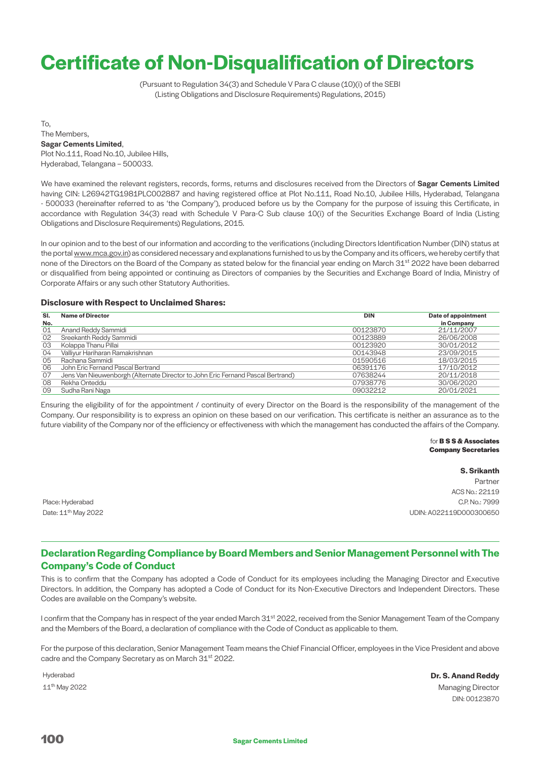# **Certificate of Non-Disqualification of Directors**

(Pursuant to Regulation 34(3) and Schedule V Para C clause (10)(i) of the SEBI (Listing Obligations and Disclosure Requirements) Regulations, 2015)

To, The Members, Sagar Cements Limited, Plot No.111, Road No.10, Jubilee Hills, Hyderabad, Telangana – 500033.

We have examined the relevant registers, records, forms, returns and disclosures received from the Directors of Sagar Cements Limited having CIN: L26942TG1981PLC002887 and having registered office at Plot No.111, Road No.10, Jubilee Hills, Hyderabad, Telangana - 500033 (hereinafter referred to as 'the Company'), produced before us by the Company for the purpose of issuing this Certificate, in accordance with Regulation 34(3) read with Schedule V Para-C Sub clause 10(i) of the Securities Exchange Board of India (Listing Obligations and Disclosure Requirements) Regulations, 2015.

In our opinion and to the best of our information and according to the verifications (including Directors Identification Number (DIN) status at the portal [www.mca.gov.in\)](http://www.mca.gov.in) as considered necessary and explanations furnished to us by the Company and its officers, we hereby certify that none of the Directors on the Board of the Company as stated below for the financial year ending on March 31<sup>st</sup> 2022 have been debarred or disqualified from being appointed or continuing as Directors of companies by the Securities and Exchange Board of India, Ministry of Corporate Affairs or any such other Statutory Authorities.

## **Disclosure with Respect to Unclaimed Shares:**

| SI. | <b>Name of Director</b>                                                         | <b>DIN</b> | Date of appointment |
|-----|---------------------------------------------------------------------------------|------------|---------------------|
| No. |                                                                                 |            | in Company          |
| 01  | Anand Reddy Sammidi                                                             | 00123870   | 21/11/2007          |
| 02  | Sreekanth Reddy Sammidi                                                         | 00123889   | 26/06/2008          |
| 03  | Kolappa Thanu Pillai                                                            | 00123920   | 30/01/2012          |
| 04  | Valliyur Hariharan Ramakrishnan                                                 | 00143948   | 23/09/2015          |
| 05  | Rachana Sammidi                                                                 | 01590516   | 18/03/2015          |
| 06  | John Eric Fernand Pascal Bertrand                                               | 06391176   | 17/10/2012          |
| 07  | Jens Van Nieuwenborgh (Alternate Director to John Eric Fernand Pascal Bertrand) | 07638244   | 20/11/2018          |
| 08  | Rekha Onteddu                                                                   | 07938776   | 30/06/2020          |
| 09  | Sudha Rani Naga                                                                 | 09032212   | 20/01/2021          |

Ensuring the eligibility of for the appointment / continuity of every Director on the Board is the responsibility of the management of the Company. Our responsibility is to express an opinion on these based on our verification. This certificate is neither an assurance as to the future viability of the Company nor of the efficiency or effectiveness with which the management has conducted the affairs of the Company.

> for **B S S & Associates Company Secretaries**

**S. Srikanth** Partner ACS No.: 22119 Place: Hyderabad C.P. No.: 7999 Date: 11th May 2022 UDIN: A022119D000300650

# **Declaration Regarding Compliance by Board Members and Senior Management Personnel with The Company's Code of Conduct**

This is to confirm that the Company has adopted a Code of Conduct for its employees including the Managing Director and Executive Directors. In addition, the Company has adopted a Code of Conduct for its Non-Executive Directors and Independent Directors. These Codes are available on the Company's website.

I confirm that the Company has in respect of the year ended March 31<sup>st</sup> 2022, received from the Senior Management Team of the Company and the Members of the Board, a declaration of compliance with the Code of Conduct as applicable to them.

For the purpose of this declaration, Senior Management Team means the Chief Financial Officer, employees in the Vice President and above cadre and the Company Secretary as on March 31<sup>st</sup> 2022.

Hyderabad **Dr. S. Anand Reddy** 11th May 2022 Managing Director DIN: 00123870